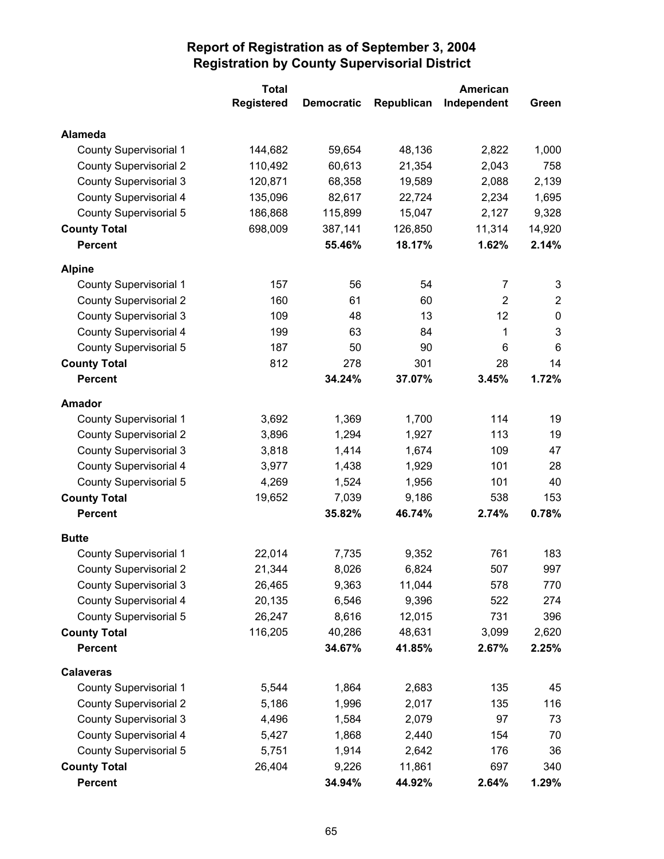|                               | <b>Total</b>      |                   |            | <b>American</b> |                |
|-------------------------------|-------------------|-------------------|------------|-----------------|----------------|
|                               | <b>Registered</b> | <b>Democratic</b> | Republican | Independent     | Green          |
| <b>Alameda</b>                |                   |                   |            |                 |                |
| <b>County Supervisorial 1</b> | 144,682           | 59,654            | 48,136     | 2,822           | 1,000          |
| <b>County Supervisorial 2</b> | 110,492           | 60,613            | 21,354     | 2,043           | 758            |
| <b>County Supervisorial 3</b> | 120,871           | 68,358            | 19,589     | 2,088           | 2,139          |
| <b>County Supervisorial 4</b> | 135,096           | 82,617            | 22,724     | 2,234           | 1,695          |
| <b>County Supervisorial 5</b> | 186,868           | 115,899           | 15,047     | 2,127           | 9,328          |
| <b>County Total</b>           | 698,009           | 387,141           | 126,850    | 11,314          | 14,920         |
| <b>Percent</b>                |                   | 55.46%            | 18.17%     | 1.62%           | 2.14%          |
| <b>Alpine</b>                 |                   |                   |            |                 |                |
| <b>County Supervisorial 1</b> | 157               | 56                | 54         | $\overline{7}$  | 3              |
| <b>County Supervisorial 2</b> | 160               | 61                | 60         | $\overline{2}$  | $\overline{2}$ |
| <b>County Supervisorial 3</b> | 109               | 48                | 13         | 12              | 0              |
| <b>County Supervisorial 4</b> | 199               | 63                | 84         | 1               | $\mathbf{3}$   |
| County Supervisorial 5        | 187               | 50                | 90         | 6               | 6              |
| <b>County Total</b>           | 812               | 278               | 301        | 28              | 14             |
| <b>Percent</b>                |                   | 34.24%            | 37.07%     | 3.45%           | 1.72%          |
| <b>Amador</b>                 |                   |                   |            |                 |                |
| <b>County Supervisorial 1</b> | 3,692             | 1,369             | 1,700      | 114             | 19             |
| <b>County Supervisorial 2</b> | 3,896             | 1,294             | 1,927      | 113             | 19             |
| <b>County Supervisorial 3</b> | 3,818             | 1,414             | 1,674      | 109             | 47             |
| <b>County Supervisorial 4</b> | 3,977             | 1,438             | 1,929      | 101             | 28             |
| <b>County Supervisorial 5</b> | 4,269             | 1,524             | 1,956      | 101             | 40             |
| <b>County Total</b>           | 19,652            | 7,039             | 9,186      | 538             | 153            |
| <b>Percent</b>                |                   | 35.82%            | 46.74%     | 2.74%           | 0.78%          |
| <b>Butte</b>                  |                   |                   |            |                 |                |
| <b>County Supervisorial 1</b> | 22,014            | 7,735             | 9,352      | 761             | 183            |
| <b>County Supervisorial 2</b> | 21,344            | 8,026             | 6,824      | 507             | 997            |
| <b>County Supervisorial 3</b> | 26,465            | 9,363             | 11,044     | 578             | 770            |
| County Supervisorial 4        | 20,135            | 6,546             | 9,396      | 522             | 274            |
| County Supervisorial 5        | 26,247            | 8,616             | 12,015     | 731             | 396            |
| <b>County Total</b>           | 116,205           | 40,286            | 48,631     | 3,099           | 2,620          |
| <b>Percent</b>                |                   | 34.67%            | 41.85%     | 2.67%           | 2.25%          |
| <b>Calaveras</b>              |                   |                   |            |                 |                |
| <b>County Supervisorial 1</b> | 5,544             | 1,864             | 2,683      | 135             | 45             |
| <b>County Supervisorial 2</b> | 5,186             | 1,996             | 2,017      | 135             | 116            |
| <b>County Supervisorial 3</b> | 4,496             | 1,584             | 2,079      | 97              | 73             |
| County Supervisorial 4        | 5,427             | 1,868             | 2,440      | 154             | 70             |
| County Supervisorial 5        | 5,751             | 1,914             | 2,642      | 176             | 36             |
| <b>County Total</b>           | 26,404            | 9,226             | 11,861     | 697             | 340            |
| <b>Percent</b>                |                   | 34.94%            | 44.92%     | 2.64%           | 1.29%          |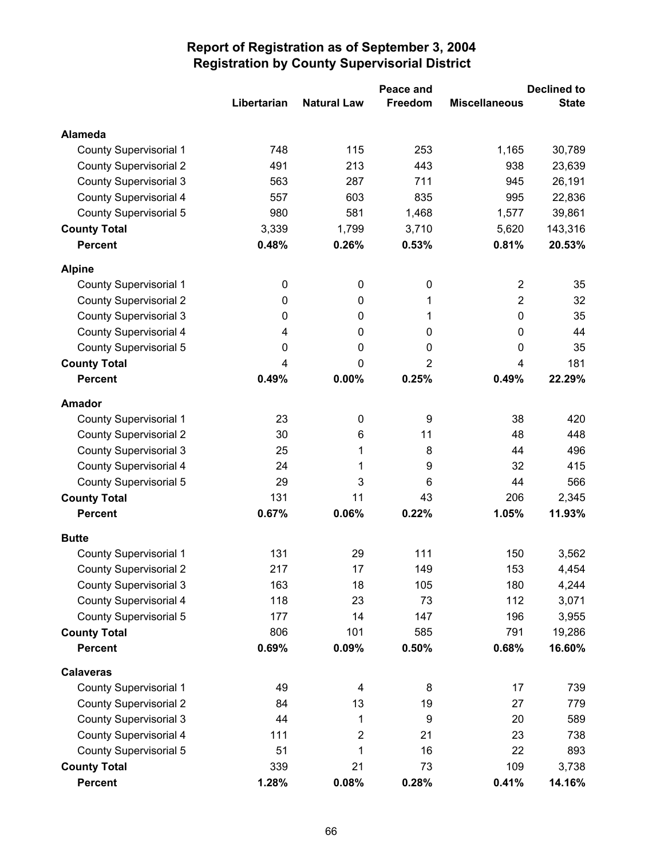|                               |             |                    | Peace and |                         | <b>Declined to</b> |
|-------------------------------|-------------|--------------------|-----------|-------------------------|--------------------|
|                               | Libertarian | <b>Natural Law</b> | Freedom   | <b>Miscellaneous</b>    | <b>State</b>       |
| Alameda                       |             |                    |           |                         |                    |
| <b>County Supervisorial 1</b> | 748         | 115                | 253       | 1,165                   | 30,789             |
| <b>County Supervisorial 2</b> | 491         | 213                | 443       | 938                     | 23,639             |
| <b>County Supervisorial 3</b> | 563         | 287                | 711       | 945                     | 26,191             |
| <b>County Supervisorial 4</b> | 557         | 603                | 835       | 995                     | 22,836             |
| <b>County Supervisorial 5</b> | 980         | 581                | 1,468     | 1,577                   | 39,861             |
| <b>County Total</b>           | 3,339       | 1,799              | 3,710     | 5,620                   | 143,316            |
| <b>Percent</b>                | 0.48%       | 0.26%              | 0.53%     | 0.81%                   | 20.53%             |
| <b>Alpine</b>                 |             |                    |           |                         |                    |
| <b>County Supervisorial 1</b> | 0           | 0                  | $\pmb{0}$ | $\overline{\mathbf{c}}$ | 35                 |
| <b>County Supervisorial 2</b> | 0           | 0                  | 1         | $\overline{2}$          | 32                 |
| <b>County Supervisorial 3</b> | 0           | 0                  | 1         | 0                       | 35                 |
| <b>County Supervisorial 4</b> | 4           | 0                  | 0         | 0                       | 44                 |
| <b>County Supervisorial 5</b> | 0           | 0                  | 0         | 0                       | 35                 |
| <b>County Total</b>           | 4           | 0                  | 2         | 4                       | 181                |
| <b>Percent</b>                | 0.49%       | 0.00%              | 0.25%     | 0.49%                   | 22.29%             |
| <b>Amador</b>                 |             |                    |           |                         |                    |
| <b>County Supervisorial 1</b> | 23          | 0                  | 9         | 38                      | 420                |
| <b>County Supervisorial 2</b> | 30          | 6                  | 11        | 48                      | 448                |
| <b>County Supervisorial 3</b> | 25          | 1                  | 8         | 44                      | 496                |
| <b>County Supervisorial 4</b> | 24          | 1                  | 9         | 32                      | 415                |
| <b>County Supervisorial 5</b> | 29          | 3                  | 6         | 44                      | 566                |
| <b>County Total</b>           | 131         | 11                 | 43        | 206                     | 2,345              |
| <b>Percent</b>                | 0.67%       | 0.06%              | 0.22%     | 1.05%                   | 11.93%             |
| <b>Butte</b>                  |             |                    |           |                         |                    |
| <b>County Supervisorial 1</b> | 131         | 29                 | 111       | 150                     | 3,562              |
| <b>County Supervisorial 2</b> | 217         | 17                 | 149       | 153                     | 4,454              |
| <b>County Supervisorial 3</b> | 163         | 18                 | 105       | 180                     | 4,244              |
| <b>County Supervisorial 4</b> | 118         | 23                 | 73        | 112                     | 3,071              |
| <b>County Supervisorial 5</b> | 177         | 14                 | 147       | 196                     | 3,955              |
| <b>County Total</b>           | 806         | 101                | 585       | 791                     | 19,286             |
| <b>Percent</b>                | 0.69%       | 0.09%              | 0.50%     | 0.68%                   | 16.60%             |
| <b>Calaveras</b>              |             |                    |           |                         |                    |
| <b>County Supervisorial 1</b> | 49          | 4                  | 8         | 17                      | 739                |
| <b>County Supervisorial 2</b> | 84          | 13                 | 19        | 27                      | 779                |
| <b>County Supervisorial 3</b> | 44          | 1                  | 9         | 20                      | 589                |
| <b>County Supervisorial 4</b> | 111         | $\overline{2}$     | 21        | 23                      | 738                |
| <b>County Supervisorial 5</b> | 51          | 1                  | 16        | 22                      | 893                |
| <b>County Total</b>           | 339         | 21                 | 73        | 109                     | 3,738              |
| <b>Percent</b>                | 1.28%       | 0.08%              | 0.28%     | 0.41%                   | 14.16%             |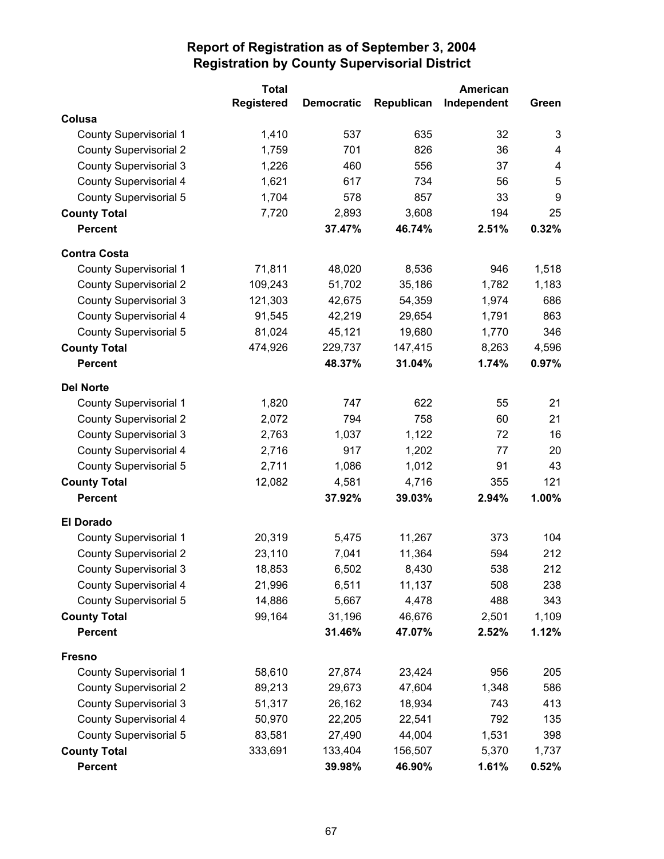|                               | <b>Total</b>      |                   |            | American    |       |
|-------------------------------|-------------------|-------------------|------------|-------------|-------|
|                               | <b>Registered</b> | <b>Democratic</b> | Republican | Independent | Green |
| Colusa                        |                   |                   |            |             |       |
| <b>County Supervisorial 1</b> | 1,410             | 537               | 635        | 32          | 3     |
| <b>County Supervisorial 2</b> | 1,759             | 701               | 826        | 36          | 4     |
| <b>County Supervisorial 3</b> | 1,226             | 460               | 556        | 37          | 4     |
| <b>County Supervisorial 4</b> | 1,621             | 617               | 734        | 56          | 5     |
| <b>County Supervisorial 5</b> | 1,704             | 578               | 857        | 33          | 9     |
| <b>County Total</b>           | 7,720             | 2,893             | 3,608      | 194         | 25    |
| <b>Percent</b>                |                   | 37.47%            | 46.74%     | 2.51%       | 0.32% |
| <b>Contra Costa</b>           |                   |                   |            |             |       |
| County Supervisorial 1        | 71,811            | 48,020            | 8,536      | 946         | 1,518 |
| <b>County Supervisorial 2</b> | 109,243           | 51,702            | 35,186     | 1,782       | 1,183 |
| <b>County Supervisorial 3</b> | 121,303           | 42,675            | 54,359     | 1,974       | 686   |
| <b>County Supervisorial 4</b> | 91,545            | 42,219            | 29,654     | 1,791       | 863   |
| County Supervisorial 5        | 81,024            | 45,121            | 19,680     | 1,770       | 346   |
| <b>County Total</b>           | 474,926           | 229,737           | 147,415    | 8,263       | 4,596 |
| <b>Percent</b>                |                   | 48.37%            | 31.04%     | 1.74%       | 0.97% |
| <b>Del Norte</b>              |                   |                   |            |             |       |
| <b>County Supervisorial 1</b> | 1,820             | 747               | 622        | 55          | 21    |
| <b>County Supervisorial 2</b> | 2,072             | 794               | 758        | 60          | 21    |
| <b>County Supervisorial 3</b> | 2,763             | 1,037             | 1,122      | 72          | 16    |
| <b>County Supervisorial 4</b> | 2,716             | 917               | 1,202      | 77          | 20    |
| <b>County Supervisorial 5</b> | 2,711             | 1,086             | 1,012      | 91          | 43    |
| <b>County Total</b>           | 12,082            | 4,581             | 4,716      | 355         | 121   |
| <b>Percent</b>                |                   | 37.92%            | 39.03%     | 2.94%       | 1.00% |
| <b>El Dorado</b>              |                   |                   |            |             |       |
| <b>County Supervisorial 1</b> | 20,319            | 5,475             | 11,267     | 373         | 104   |
| <b>County Supervisorial 2</b> | 23,110            | 7,041             | 11,364     | 594         | 212   |
| <b>County Supervisorial 3</b> | 18,853            | 6,502             | 8,430      | 538         | 212   |
| County Supervisorial 4        | 21,996            | 6,511             | 11,137     | 508         | 238   |
| County Supervisorial 5        | 14,886            | 5,667             | 4,478      | 488         | 343   |
| <b>County Total</b>           | 99,164            | 31,196            | 46,676     | 2,501       | 1,109 |
| <b>Percent</b>                |                   | 31.46%            | 47.07%     | 2.52%       | 1.12% |
| <b>Fresno</b>                 |                   |                   |            |             |       |
| County Supervisorial 1        | 58,610            | 27,874            | 23,424     | 956         | 205   |
| <b>County Supervisorial 2</b> | 89,213            | 29,673            | 47,604     | 1,348       | 586   |
| <b>County Supervisorial 3</b> | 51,317            | 26,162            | 18,934     | 743         | 413   |
| <b>County Supervisorial 4</b> | 50,970            | 22,205            | 22,541     | 792         | 135   |
| County Supervisorial 5        | 83,581            | 27,490            | 44,004     | 1,531       | 398   |
| <b>County Total</b>           | 333,691           | 133,404           | 156,507    | 5,370       | 1,737 |
| <b>Percent</b>                |                   | 39.98%            | 46.90%     | 1.61%       | 0.52% |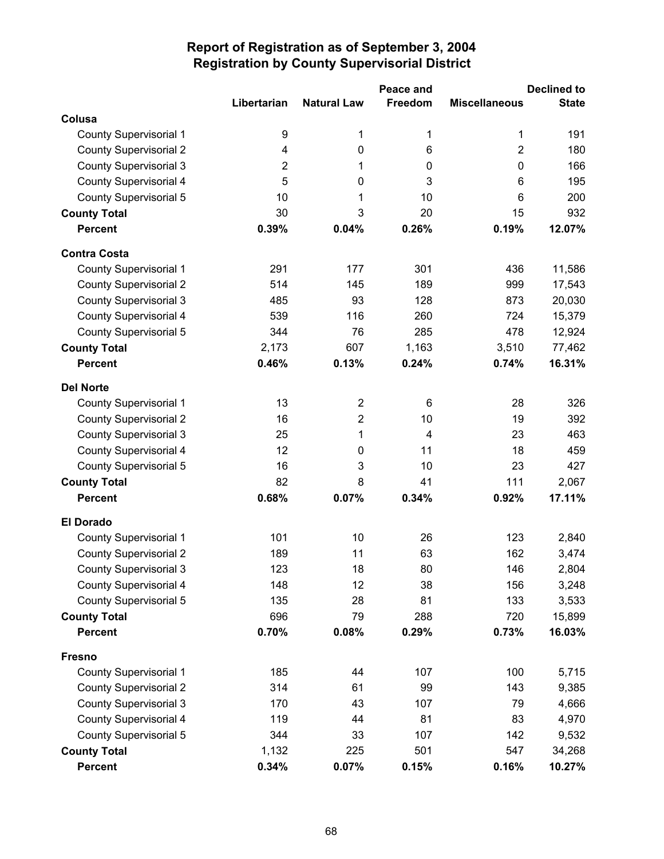|                               |                |                    | Peace and      |                      | <b>Declined to</b> |
|-------------------------------|----------------|--------------------|----------------|----------------------|--------------------|
|                               | Libertarian    | <b>Natural Law</b> | Freedom        | <b>Miscellaneous</b> | <b>State</b>       |
| Colusa                        |                |                    |                |                      |                    |
| <b>County Supervisorial 1</b> | 9              | 1                  | 1              | 1                    | 191                |
| <b>County Supervisorial 2</b> | 4              | $\pmb{0}$          | 6              | $\overline{2}$       | 180                |
| <b>County Supervisorial 3</b> | $\overline{2}$ | 1                  | 0              | $\mathbf 0$          | 166                |
| <b>County Supervisorial 4</b> | 5              | 0                  | 3              | 6                    | 195                |
| <b>County Supervisorial 5</b> | 10             | 1                  | 10             | 6                    | 200                |
| <b>County Total</b>           | 30             | 3                  | 20             | 15                   | 932                |
| <b>Percent</b>                | 0.39%          | 0.04%              | 0.26%          | 0.19%                | 12.07%             |
| <b>Contra Costa</b>           |                |                    |                |                      |                    |
| <b>County Supervisorial 1</b> | 291            | 177                | 301            | 436                  | 11,586             |
| <b>County Supervisorial 2</b> | 514            | 145                | 189            | 999                  | 17,543             |
| <b>County Supervisorial 3</b> | 485            | 93                 | 128            | 873                  | 20,030             |
| <b>County Supervisorial 4</b> | 539            | 116                | 260            | 724                  | 15,379             |
| County Supervisorial 5        | 344            | 76                 | 285            | 478                  | 12,924             |
| <b>County Total</b>           | 2,173          | 607                | 1,163          | 3,510                | 77,462             |
| <b>Percent</b>                | 0.46%          | 0.13%              | 0.24%          | 0.74%                | 16.31%             |
| <b>Del Norte</b>              |                |                    |                |                      |                    |
| <b>County Supervisorial 1</b> | 13             | $\overline{2}$     | 6              | 28                   | 326                |
| <b>County Supervisorial 2</b> | 16             | $\overline{2}$     | 10             | 19                   | 392                |
| <b>County Supervisorial 3</b> | 25             | 1                  | $\overline{4}$ | 23                   | 463                |
| <b>County Supervisorial 4</b> | 12             | 0                  | 11             | 18                   | 459                |
| County Supervisorial 5        | 16             | 3                  | 10             | 23                   | 427                |
| <b>County Total</b>           | 82             | 8                  | 41             | 111                  | 2,067              |
| <b>Percent</b>                | 0.68%          | 0.07%              | 0.34%          | 0.92%                | 17.11%             |
| <b>El Dorado</b>              |                |                    |                |                      |                    |
| <b>County Supervisorial 1</b> | 101            | 10                 | 26             | 123                  | 2,840              |
| <b>County Supervisorial 2</b> | 189            | 11                 | 63             | 162                  | 3,474              |
| <b>County Supervisorial 3</b> | 123            | 18                 | 80             | 146                  | 2,804              |
| County Supervisorial 4        | 148            | 12                 | 38             | 156                  | 3,248              |
| <b>County Supervisorial 5</b> | 135            | 28                 | 81             | 133                  | 3,533              |
| <b>County Total</b>           | 696            | 79                 | 288            | 720                  | 15,899             |
| <b>Percent</b>                | 0.70%          | 0.08%              | 0.29%          | 0.73%                | 16.03%             |
| <b>Fresno</b>                 |                |                    |                |                      |                    |
| <b>County Supervisorial 1</b> | 185            | 44                 | 107            | 100                  | 5,715              |
| <b>County Supervisorial 2</b> | 314            | 61                 | 99             | 143                  | 9,385              |
| <b>County Supervisorial 3</b> | 170            | 43                 | 107            | 79                   | 4,666              |
| <b>County Supervisorial 4</b> | 119            | 44                 | 81             | 83                   | 4,970              |
| <b>County Supervisorial 5</b> | 344            | 33                 | 107            | 142                  | 9,532              |
| <b>County Total</b>           | 1,132          | 225                | 501            | 547                  | 34,268             |
| <b>Percent</b>                | 0.34%          | 0.07%              | 0.15%          | 0.16%                | 10.27%             |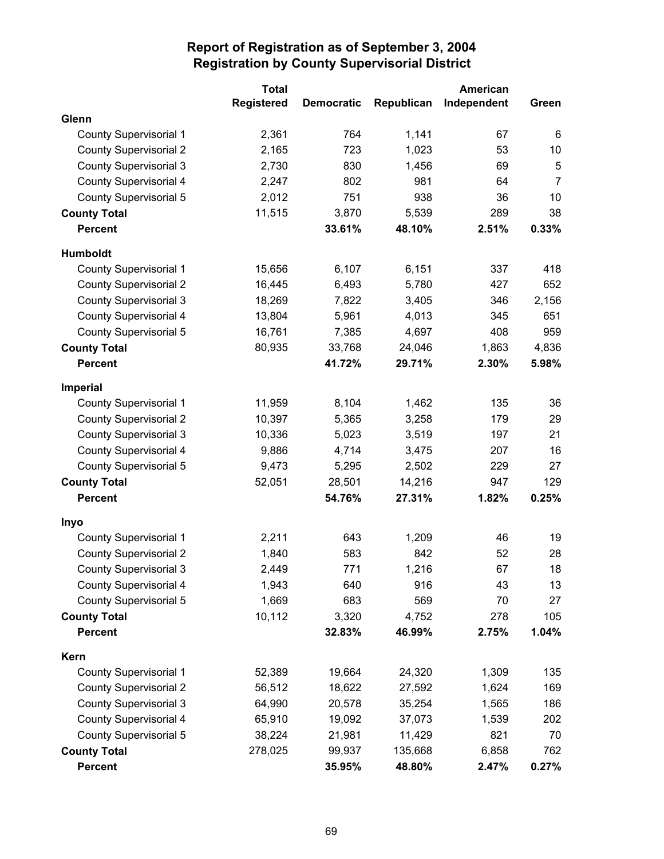|                               | <b>Total</b>      |                   |            | American    |                |
|-------------------------------|-------------------|-------------------|------------|-------------|----------------|
|                               | <b>Registered</b> | <b>Democratic</b> | Republican | Independent | Green          |
| Glenn                         |                   |                   |            |             |                |
| <b>County Supervisorial 1</b> | 2,361             | 764               | 1,141      | 67          | 6              |
| <b>County Supervisorial 2</b> | 2,165             | 723               | 1,023      | 53          | 10             |
| <b>County Supervisorial 3</b> | 2,730             | 830               | 1,456      | 69          | 5              |
| <b>County Supervisorial 4</b> | 2,247             | 802               | 981        | 64          | $\overline{7}$ |
| <b>County Supervisorial 5</b> | 2,012             | 751               | 938        | 36          | 10             |
| <b>County Total</b>           | 11,515            | 3,870             | 5,539      | 289         | 38             |
| <b>Percent</b>                |                   | 33.61%            | 48.10%     | 2.51%       | 0.33%          |
| <b>Humboldt</b>               |                   |                   |            |             |                |
| <b>County Supervisorial 1</b> | 15,656            | 6,107             | 6,151      | 337         | 418            |
| <b>County Supervisorial 2</b> | 16,445            | 6,493             | 5,780      | 427         | 652            |
| <b>County Supervisorial 3</b> | 18,269            | 7,822             | 3,405      | 346         | 2,156          |
| <b>County Supervisorial 4</b> | 13,804            | 5,961             | 4,013      | 345         | 651            |
| <b>County Supervisorial 5</b> | 16,761            | 7,385             | 4,697      | 408         | 959            |
| <b>County Total</b>           | 80,935            | 33,768            | 24,046     | 1,863       | 4,836          |
| <b>Percent</b>                |                   | 41.72%            | 29.71%     | 2.30%       | 5.98%          |
| <b>Imperial</b>               |                   |                   |            |             |                |
| County Supervisorial 1        | 11,959            | 8,104             | 1,462      | 135         | 36             |
| <b>County Supervisorial 2</b> | 10,397            | 5,365             | 3,258      | 179         | 29             |
| <b>County Supervisorial 3</b> | 10,336            | 5,023             | 3,519      | 197         | 21             |
| <b>County Supervisorial 4</b> | 9,886             | 4,714             | 3,475      | 207         | 16             |
| <b>County Supervisorial 5</b> | 9,473             | 5,295             | 2,502      | 229         | 27             |
| <b>County Total</b>           | 52,051            | 28,501            | 14,216     | 947         | 129            |
| <b>Percent</b>                |                   | 54.76%            | 27.31%     | 1.82%       | 0.25%          |
| Inyo                          |                   |                   |            |             |                |
| <b>County Supervisorial 1</b> | 2,211             | 643               | 1,209      | 46          | 19             |
| <b>County Supervisorial 2</b> | 1,840             | 583               | 842        | 52          | 28             |
| <b>County Supervisorial 3</b> | 2,449             | 771               | 1,216      | 67          | 18             |
| County Supervisorial 4        | 1,943             | 640               | 916        | 43          | 13             |
| County Supervisorial 5        | 1,669             | 683               | 569        | 70          | 27             |
| <b>County Total</b>           | 10,112            | 3,320             | 4,752      | 278         | 105            |
| <b>Percent</b>                |                   | 32.83%            | 46.99%     | 2.75%       | 1.04%          |
| Kern                          |                   |                   |            |             |                |
| <b>County Supervisorial 1</b> | 52,389            | 19,664            | 24,320     | 1,309       | 135            |
| <b>County Supervisorial 2</b> | 56,512            | 18,622            | 27,592     | 1,624       | 169            |
| <b>County Supervisorial 3</b> | 64,990            | 20,578            | 35,254     | 1,565       | 186            |
| <b>County Supervisorial 4</b> | 65,910            | 19,092            | 37,073     | 1,539       | 202            |
| <b>County Supervisorial 5</b> | 38,224            | 21,981            | 11,429     | 821         | 70             |
| <b>County Total</b>           | 278,025           | 99,937            | 135,668    | 6,858       | 762            |
| <b>Percent</b>                |                   | 35.95%            | 48.80%     | 2.47%       | 0.27%          |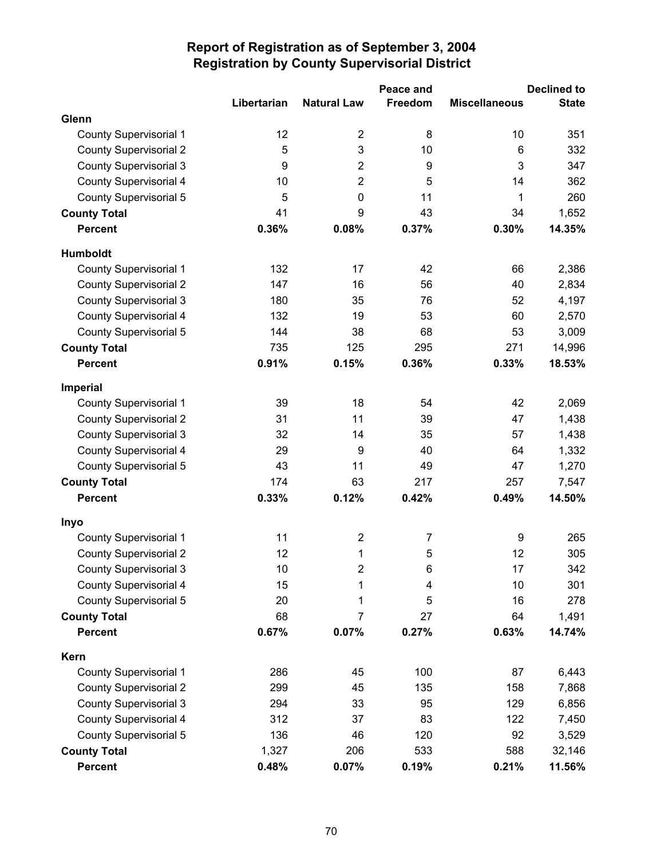|                               |                  |                    | Peace and      |                      | <b>Declined to</b> |
|-------------------------------|------------------|--------------------|----------------|----------------------|--------------------|
|                               | Libertarian      | <b>Natural Law</b> | Freedom        | <b>Miscellaneous</b> | <b>State</b>       |
| Glenn                         |                  |                    |                |                      |                    |
| <b>County Supervisorial 1</b> | 12               | $\overline{2}$     | 8              | 10                   | 351                |
| <b>County Supervisorial 2</b> | 5                | 3                  | 10             | 6                    | 332                |
| <b>County Supervisorial 3</b> | $\boldsymbol{9}$ | $\overline{2}$     | 9              | 3                    | 347                |
| <b>County Supervisorial 4</b> | 10               | $\overline{2}$     | 5              | 14                   | 362                |
| <b>County Supervisorial 5</b> | 5                | $\mathbf 0$        | 11             | 1                    | 260                |
| <b>County Total</b>           | 41               | 9                  | 43             | 34                   | 1,652              |
| <b>Percent</b>                | 0.36%            | 0.08%              | 0.37%          | 0.30%                | 14.35%             |
| Humboldt                      |                  |                    |                |                      |                    |
| <b>County Supervisorial 1</b> | 132              | 17                 | 42             | 66                   | 2,386              |
| <b>County Supervisorial 2</b> | 147              | 16                 | 56             | 40                   | 2,834              |
| <b>County Supervisorial 3</b> | 180              | 35                 | 76             | 52                   | 4,197              |
| <b>County Supervisorial 4</b> | 132              | 19                 | 53             | 60                   | 2,570              |
| <b>County Supervisorial 5</b> | 144              | 38                 | 68             | 53                   | 3,009              |
| <b>County Total</b>           | 735              | 125                | 295            | 271                  | 14,996             |
| <b>Percent</b>                | 0.91%            | 0.15%              | 0.36%          | 0.33%                | 18.53%             |
| <b>Imperial</b>               |                  |                    |                |                      |                    |
| <b>County Supervisorial 1</b> | 39               | 18                 | 54             | 42                   | 2,069              |
| <b>County Supervisorial 2</b> | 31               | 11                 | 39             | 47                   | 1,438              |
| <b>County Supervisorial 3</b> | 32               | 14                 | 35             | 57                   | 1,438              |
| <b>County Supervisorial 4</b> | 29               | 9                  | 40             | 64                   | 1,332              |
| <b>County Supervisorial 5</b> | 43               | 11                 | 49             | 47                   | 1,270              |
| <b>County Total</b>           | 174              | 63                 | 217            | 257                  | 7,547              |
| <b>Percent</b>                | 0.33%            | 0.12%              | 0.42%          | 0.49%                | 14.50%             |
| Inyo                          |                  |                    |                |                      |                    |
| County Supervisorial 1        | 11               | $\overline{2}$     | $\overline{7}$ | 9                    | 265                |
| <b>County Supervisorial 2</b> | 12               | 1                  | $\sqrt{5}$     | 12                   | 305                |
| <b>County Supervisorial 3</b> | 10               | 2                  | 6              | 17                   | 342                |
| <b>County Supervisorial 4</b> | 15               | 1                  | 4              | 10                   | 301                |
| <b>County Supervisorial 5</b> | 20               | 1                  | 5              | 16                   | 278                |
| <b>County Total</b>           | 68               | 7                  | 27             | 64                   | 1,491              |
| <b>Percent</b>                | 0.67%            | 0.07%              | 0.27%          | 0.63%                | 14.74%             |
| Kern                          |                  |                    |                |                      |                    |
| <b>County Supervisorial 1</b> | 286              | 45                 | 100            | 87                   | 6,443              |
| <b>County Supervisorial 2</b> | 299              | 45                 | 135            | 158                  | 7,868              |
| <b>County Supervisorial 3</b> | 294              | 33                 | 95             | 129                  | 6,856              |
| <b>County Supervisorial 4</b> | 312              | 37                 | 83             | 122                  | 7,450              |
| <b>County Supervisorial 5</b> | 136              | 46                 | 120            | 92                   | 3,529              |
| <b>County Total</b>           | 1,327            | 206                | 533            | 588                  | 32,146             |
| <b>Percent</b>                | 0.48%            | 0.07%              | 0.19%          | 0.21%                | 11.56%             |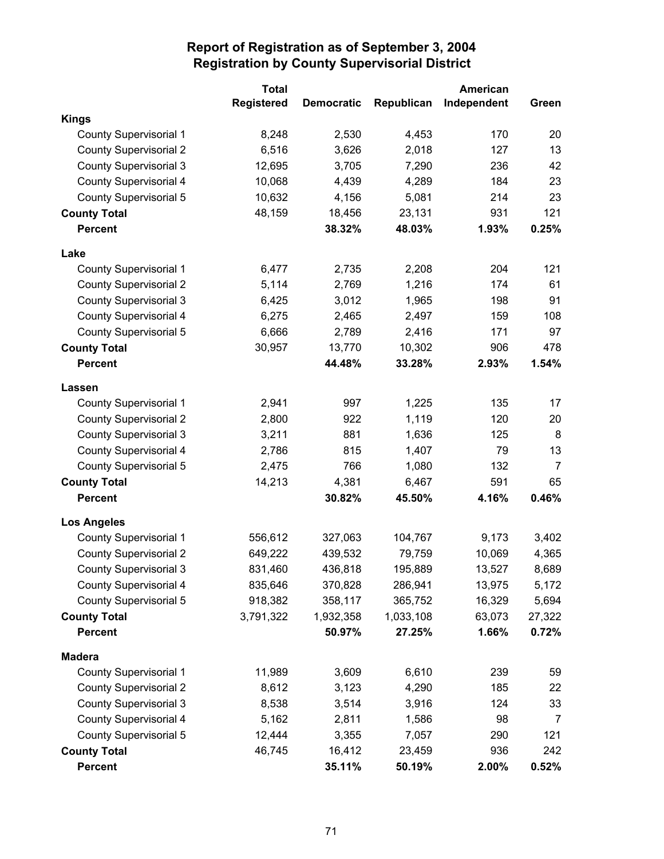|                               | <b>Total</b>      |                   |            | <b>American</b> |        |
|-------------------------------|-------------------|-------------------|------------|-----------------|--------|
|                               | <b>Registered</b> | <b>Democratic</b> | Republican | Independent     | Green  |
| <b>Kings</b>                  |                   |                   |            |                 |        |
| <b>County Supervisorial 1</b> | 8,248             | 2,530             | 4,453      | 170             | 20     |
| <b>County Supervisorial 2</b> | 6,516             | 3,626             | 2,018      | 127             | 13     |
| <b>County Supervisorial 3</b> | 12,695            | 3,705             | 7,290      | 236             | 42     |
| <b>County Supervisorial 4</b> | 10,068            | 4,439             | 4,289      | 184             | 23     |
| <b>County Supervisorial 5</b> | 10,632            | 4,156             | 5,081      | 214             | 23     |
| <b>County Total</b>           | 48,159            | 18,456            | 23,131     | 931             | 121    |
| <b>Percent</b>                |                   | 38.32%            | 48.03%     | 1.93%           | 0.25%  |
| Lake                          |                   |                   |            |                 |        |
| County Supervisorial 1        | 6,477             | 2,735             | 2,208      | 204             | 121    |
| <b>County Supervisorial 2</b> | 5,114             | 2,769             | 1,216      | 174             | 61     |
| <b>County Supervisorial 3</b> | 6,425             | 3,012             | 1,965      | 198             | 91     |
| <b>County Supervisorial 4</b> | 6,275             | 2,465             | 2,497      | 159             | 108    |
| <b>County Supervisorial 5</b> | 6,666             | 2,789             | 2,416      | 171             | 97     |
| <b>County Total</b>           | 30,957            | 13,770            | 10,302     | 906             | 478    |
| <b>Percent</b>                |                   | 44.48%            | 33.28%     | 2.93%           | 1.54%  |
| Lassen                        |                   |                   |            |                 |        |
| <b>County Supervisorial 1</b> | 2,941             | 997               | 1,225      | 135             | 17     |
| <b>County Supervisorial 2</b> | 2,800             | 922               | 1,119      | 120             | 20     |
| <b>County Supervisorial 3</b> | 3,211             | 881               | 1,636      | 125             | 8      |
| <b>County Supervisorial 4</b> | 2,786             | 815               | 1,407      | 79              | 13     |
| <b>County Supervisorial 5</b> | 2,475             | 766               | 1,080      | 132             | 7      |
| <b>County Total</b>           | 14,213            | 4,381             | 6,467      | 591             | 65     |
| <b>Percent</b>                |                   | 30.82%            | 45.50%     | 4.16%           | 0.46%  |
| <b>Los Angeles</b>            |                   |                   |            |                 |        |
| <b>County Supervisorial 1</b> | 556,612           | 327,063           | 104,767    | 9,173           | 3,402  |
| <b>County Supervisorial 2</b> | 649,222           | 439,532           | 79,759     | 10,069          | 4,365  |
| <b>County Supervisorial 3</b> | 831,460           | 436,818           | 195,889    | 13,527          | 8,689  |
| County Supervisorial 4        | 835,646           | 370,828           | 286,941    | 13,975          | 5,172  |
| <b>County Supervisorial 5</b> | 918,382           | 358,117           | 365,752    | 16,329          | 5,694  |
| <b>County Total</b>           | 3,791,322         | 1,932,358         | 1,033,108  | 63,073          | 27,322 |
| <b>Percent</b>                |                   | 50.97%            | 27.25%     | 1.66%           | 0.72%  |
| <b>Madera</b>                 |                   |                   |            |                 |        |
| <b>County Supervisorial 1</b> | 11,989            | 3,609             | 6,610      | 239             | 59     |
| <b>County Supervisorial 2</b> | 8,612             | 3,123             | 4,290      | 185             | 22     |
| <b>County Supervisorial 3</b> | 8,538             | 3,514             | 3,916      | 124             | 33     |
| <b>County Supervisorial 4</b> | 5,162             | 2,811             | 1,586      | 98              | 7      |
| County Supervisorial 5        | 12,444            | 3,355             | 7,057      | 290             | 121    |
| <b>County Total</b>           | 46,745            | 16,412            | 23,459     | 936             | 242    |
| <b>Percent</b>                |                   | 35.11%            | 50.19%     | 2.00%           | 0.52%  |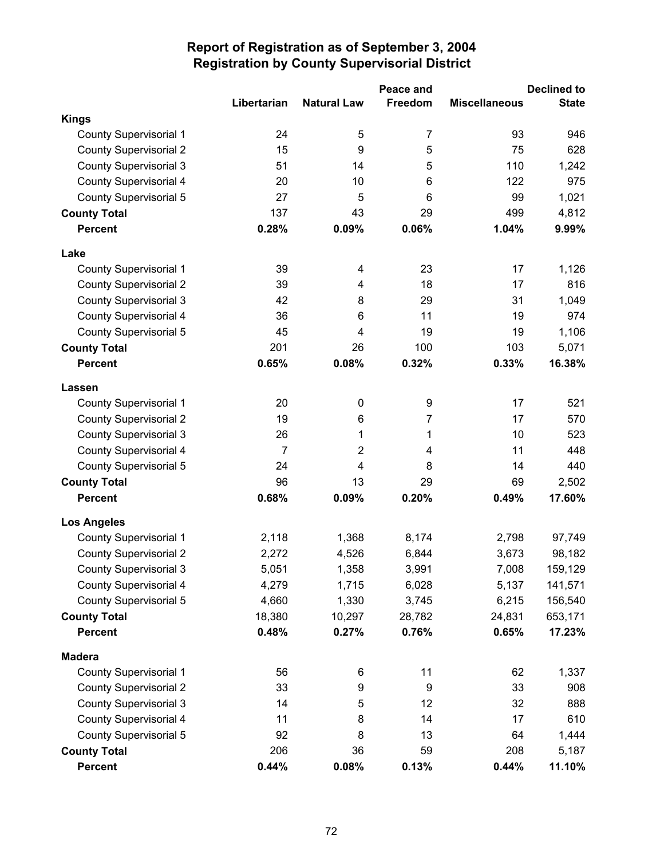|                               |                |                    | Peace and      |                      | <b>Declined to</b> |
|-------------------------------|----------------|--------------------|----------------|----------------------|--------------------|
|                               | Libertarian    | <b>Natural Law</b> | Freedom        | <b>Miscellaneous</b> | <b>State</b>       |
| <b>Kings</b>                  |                |                    |                |                      |                    |
| <b>County Supervisorial 1</b> | 24             | 5                  | $\overline{7}$ | 93                   | 946                |
| <b>County Supervisorial 2</b> | 15             | 9                  | 5              | 75                   | 628                |
| <b>County Supervisorial 3</b> | 51             | 14                 | 5              | 110                  | 1,242              |
| <b>County Supervisorial 4</b> | 20             | 10                 | 6              | 122                  | 975                |
| <b>County Supervisorial 5</b> | 27             | 5                  | 6              | 99                   | 1,021              |
| <b>County Total</b>           | 137            | 43                 | 29             | 499                  | 4,812              |
| <b>Percent</b>                | 0.28%          | 0.09%              | 0.06%          | 1.04%                | 9.99%              |
| Lake                          |                |                    |                |                      |                    |
| <b>County Supervisorial 1</b> | 39             | 4                  | 23             | 17                   | 1,126              |
| <b>County Supervisorial 2</b> | 39             | 4                  | 18             | 17                   | 816                |
| <b>County Supervisorial 3</b> | 42             | 8                  | 29             | 31                   | 1,049              |
| <b>County Supervisorial 4</b> | 36             | 6                  | 11             | 19                   | 974                |
| County Supervisorial 5        | 45             | 4                  | 19             | 19                   | 1,106              |
| <b>County Total</b>           | 201            | 26                 | 100            | 103                  | 5,071              |
| <b>Percent</b>                | 0.65%          | 0.08%              | 0.32%          | 0.33%                | 16.38%             |
| Lassen                        |                |                    |                |                      |                    |
| <b>County Supervisorial 1</b> | 20             | $\pmb{0}$          | 9              | 17                   | 521                |
| <b>County Supervisorial 2</b> | 19             | 6                  | 7              | 17                   | 570                |
| <b>County Supervisorial 3</b> | 26             | 1                  | 1              | 10                   | 523                |
| <b>County Supervisorial 4</b> | $\overline{7}$ | $\overline{2}$     | 4              | 11                   | 448                |
| <b>County Supervisorial 5</b> | 24             | 4                  | 8              | 14                   | 440                |
| <b>County Total</b>           | 96             | 13                 | 29             | 69                   | 2,502              |
| <b>Percent</b>                | 0.68%          | 0.09%              | 0.20%          | 0.49%                | 17.60%             |
| <b>Los Angeles</b>            |                |                    |                |                      |                    |
| <b>County Supervisorial 1</b> | 2,118          | 1,368              | 8,174          | 2,798                | 97,749             |
| <b>County Supervisorial 2</b> | 2,272          | 4,526              | 6,844          | 3,673                | 98,182             |
| <b>County Supervisorial 3</b> | 5,051          | 1,358              | 3,991          | 7,008                | 159,129            |
| County Supervisorial 4        | 4,279          | 1,715              | 6,028          | 5,137                | 141,571            |
| County Supervisorial 5        | 4,660          | 1,330              | 3,745          | 6,215                | 156,540            |
| <b>County Total</b>           | 18,380         | 10,297             | 28,782         | 24,831               | 653,171            |
| <b>Percent</b>                | 0.48%          | 0.27%              | 0.76%          | 0.65%                | 17.23%             |
| <b>Madera</b>                 |                |                    |                |                      |                    |
| <b>County Supervisorial 1</b> | 56             | 6                  | 11             | 62                   | 1,337              |
| <b>County Supervisorial 2</b> | 33             | 9                  | 9              | 33                   | 908                |
| <b>County Supervisorial 3</b> | 14             | 5                  | 12             | 32                   | 888                |
| <b>County Supervisorial 4</b> | 11             | 8                  | 14             | 17                   | 610                |
| <b>County Supervisorial 5</b> | 92             | 8                  | 13             | 64                   | 1,444              |
| <b>County Total</b>           | 206            | 36                 | 59             | 208                  | 5,187              |
| <b>Percent</b>                | 0.44%          | 0.08%              | 0.13%          | 0.44%                | 11.10%             |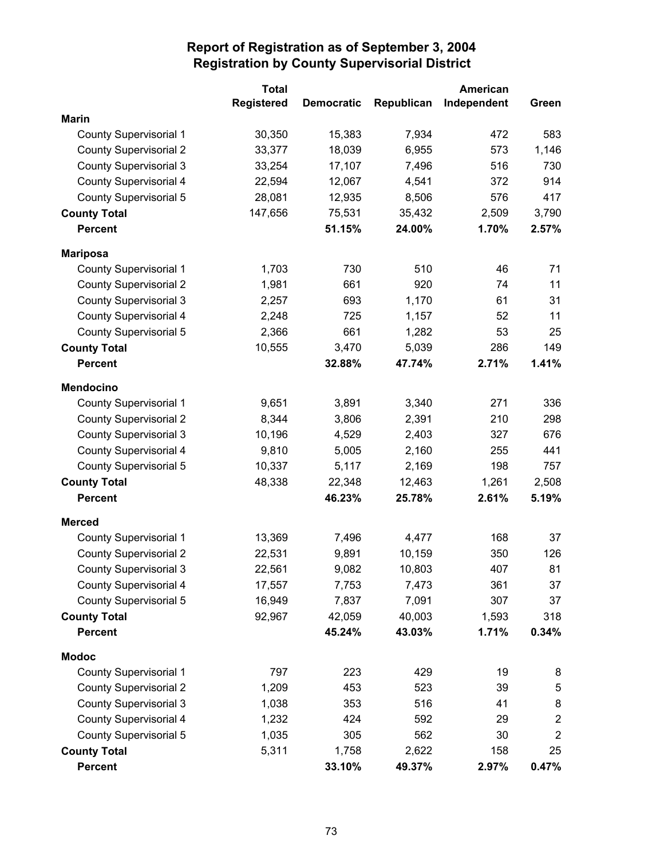|                               | <b>Total</b>      |                   |            | American    |                |
|-------------------------------|-------------------|-------------------|------------|-------------|----------------|
|                               | <b>Registered</b> | <b>Democratic</b> | Republican | Independent | Green          |
| <b>Marin</b>                  |                   |                   |            |             |                |
| <b>County Supervisorial 1</b> | 30,350            | 15,383            | 7,934      | 472         | 583            |
| <b>County Supervisorial 2</b> | 33,377            | 18,039            | 6,955      | 573         | 1,146          |
| <b>County Supervisorial 3</b> | 33,254            | 17,107            | 7,496      | 516         | 730            |
| County Supervisorial 4        | 22,594            | 12,067            | 4,541      | 372         | 914            |
| County Supervisorial 5        | 28,081            | 12,935            | 8,506      | 576         | 417            |
| <b>County Total</b>           | 147,656           | 75,531            | 35,432     | 2,509       | 3,790          |
| <b>Percent</b>                |                   | 51.15%            | 24.00%     | 1.70%       | 2.57%          |
| <b>Mariposa</b>               |                   |                   |            |             |                |
| <b>County Supervisorial 1</b> | 1,703             | 730               | 510        | 46          | 71             |
| <b>County Supervisorial 2</b> | 1,981             | 661               | 920        | 74          | 11             |
| <b>County Supervisorial 3</b> | 2,257             | 693               | 1,170      | 61          | 31             |
| County Supervisorial 4        | 2,248             | 725               | 1,157      | 52          | 11             |
| County Supervisorial 5        | 2,366             | 661               | 1,282      | 53          | 25             |
| <b>County Total</b>           | 10,555            | 3,470             | 5,039      | 286         | 149            |
| <b>Percent</b>                |                   | 32.88%            | 47.74%     | 2.71%       | 1.41%          |
| <b>Mendocino</b>              |                   |                   |            |             |                |
| <b>County Supervisorial 1</b> | 9,651             | 3,891             | 3,340      | 271         | 336            |
| <b>County Supervisorial 2</b> | 8,344             | 3,806             | 2,391      | 210         | 298            |
| <b>County Supervisorial 3</b> | 10,196            | 4,529             | 2,403      | 327         | 676            |
| <b>County Supervisorial 4</b> | 9,810             | 5,005             | 2,160      | 255         | 441            |
| County Supervisorial 5        | 10,337            | 5,117             | 2,169      | 198         | 757            |
| <b>County Total</b>           | 48,338            | 22,348            | 12,463     | 1,261       | 2,508          |
| <b>Percent</b>                |                   | 46.23%            | 25.78%     | 2.61%       | 5.19%          |
| <b>Merced</b>                 |                   |                   |            |             |                |
| <b>County Supervisorial 1</b> | 13,369            | 7,496             | 4,477      | 168         | 37             |
| <b>County Supervisorial 2</b> | 22,531            | 9,891             | 10,159     | 350         | 126            |
| <b>County Supervisorial 3</b> | 22,561            | 9,082             | 10,803     | 407         | 81             |
| County Supervisorial 4        | 17,557            | 7,753             | 7,473      | 361         | 37             |
| County Supervisorial 5        | 16,949            | 7,837             | 7,091      | 307         | 37             |
| <b>County Total</b>           | 92,967            | 42,059            | 40,003     | 1,593       | 318            |
| <b>Percent</b>                |                   | 45.24%            | 43.03%     | 1.71%       | 0.34%          |
| <b>Modoc</b>                  |                   |                   |            |             |                |
| <b>County Supervisorial 1</b> | 797               | 223               | 429        | 19          | 8              |
| <b>County Supervisorial 2</b> | 1,209             | 453               | 523        | 39          | 5              |
| <b>County Supervisorial 3</b> | 1,038             | 353               | 516        | 41          | 8              |
| <b>County Supervisorial 4</b> | 1,232             | 424               | 592        | 29          | $\overline{2}$ |
| County Supervisorial 5        | 1,035             | 305               | 562        | 30          | $\overline{2}$ |
| <b>County Total</b>           | 5,311             | 1,758             | 2,622      | 158         | 25             |
| <b>Percent</b>                |                   | 33.10%            | 49.37%     | 2.97%       | 0.47%          |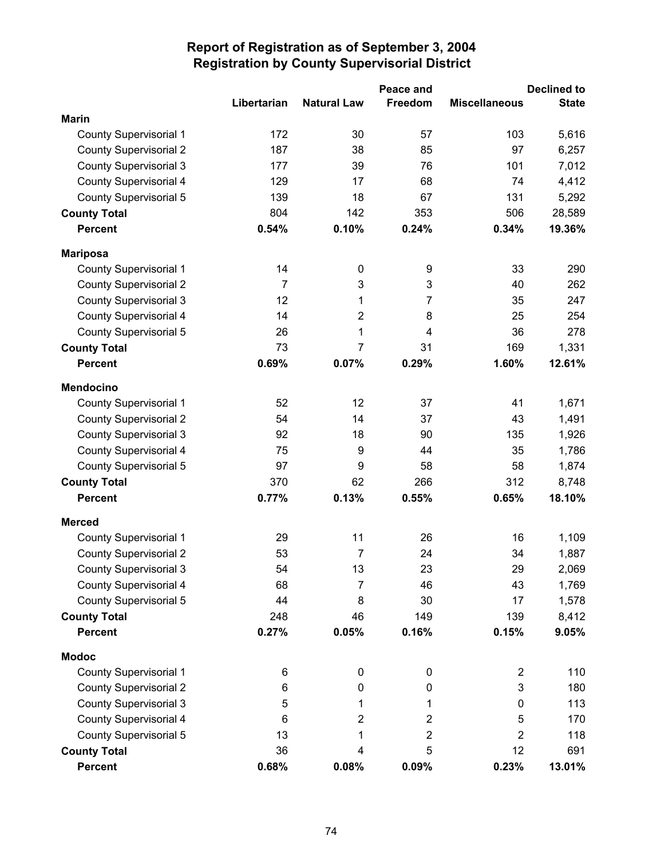|                               |                |                    | Peace and      |                      | <b>Declined to</b> |
|-------------------------------|----------------|--------------------|----------------|----------------------|--------------------|
|                               | Libertarian    | <b>Natural Law</b> | Freedom        | <b>Miscellaneous</b> | <b>State</b>       |
| <b>Marin</b>                  |                |                    |                |                      |                    |
| <b>County Supervisorial 1</b> | 172            | 30                 | 57             | 103                  | 5,616              |
| <b>County Supervisorial 2</b> | 187            | 38                 | 85             | 97                   | 6,257              |
| <b>County Supervisorial 3</b> | 177            | 39                 | 76             | 101                  | 7,012              |
| County Supervisorial 4        | 129            | 17                 | 68             | 74                   | 4,412              |
| County Supervisorial 5        | 139            | 18                 | 67             | 131                  | 5,292              |
| <b>County Total</b>           | 804            | 142                | 353            | 506                  | 28,589             |
| <b>Percent</b>                | 0.54%          | 0.10%              | 0.24%          | 0.34%                | 19.36%             |
| <b>Mariposa</b>               |                |                    |                |                      |                    |
| <b>County Supervisorial 1</b> | 14             | $\mathbf 0$        | 9              | 33                   | 290                |
| <b>County Supervisorial 2</b> | $\overline{7}$ | 3                  | 3              | 40                   | 262                |
| <b>County Supervisorial 3</b> | 12             | 1                  | $\overline{7}$ | 35                   | 247                |
| <b>County Supervisorial 4</b> | 14             | $\overline{2}$     | 8              | 25                   | 254                |
| County Supervisorial 5        | 26             | 1                  | 4              | 36                   | 278                |
| <b>County Total</b>           | 73             | $\overline{7}$     | 31             | 169                  | 1,331              |
| <b>Percent</b>                | 0.69%          | 0.07%              | 0.29%          | 1.60%                | 12.61%             |
| <b>Mendocino</b>              |                |                    |                |                      |                    |
| <b>County Supervisorial 1</b> | 52             | 12                 | 37             | 41                   | 1,671              |
| <b>County Supervisorial 2</b> | 54             | 14                 | 37             | 43                   | 1,491              |
| <b>County Supervisorial 3</b> | 92             | 18                 | 90             | 135                  | 1,926              |
| <b>County Supervisorial 4</b> | 75             | 9                  | 44             | 35                   | 1,786              |
| County Supervisorial 5        | 97             | 9                  | 58             | 58                   | 1,874              |
| <b>County Total</b>           | 370            | 62                 | 266            | 312                  | 8,748              |
| <b>Percent</b>                | 0.77%          | 0.13%              | 0.55%          | 0.65%                | 18.10%             |
| <b>Merced</b>                 |                |                    |                |                      |                    |
| <b>County Supervisorial 1</b> | 29             | 11                 | 26             | 16                   | 1,109              |
| <b>County Supervisorial 2</b> | 53             | $\overline{7}$     | 24             | 34                   | 1,887              |
| <b>County Supervisorial 3</b> | 54             | 13                 | 23             | 29                   | 2,069              |
| County Supervisorial 4        | 68             | $\overline{7}$     | 46             | 43                   | 1,769              |
| County Supervisorial 5        | 44             | 8                  | 30             | 17                   | 1,578              |
| <b>County Total</b>           | 248            | 46                 | 149            | 139                  | 8,412              |
| <b>Percent</b>                | 0.27%          | 0.05%              | 0.16%          | 0.15%                | 9.05%              |
| <b>Modoc</b>                  |                |                    |                |                      |                    |
| <b>County Supervisorial 1</b> | 6              | 0                  | $\mathbf 0$    | $\overline{2}$       | 110                |
| <b>County Supervisorial 2</b> | 6              | 0                  | 0              | 3                    | 180                |
| <b>County Supervisorial 3</b> | 5              | 1                  | 1              | 0                    | 113                |
| <b>County Supervisorial 4</b> | 6              | 2                  | 2              | 5                    | 170                |
| <b>County Supervisorial 5</b> | 13             | 1                  | $\overline{2}$ | $\overline{2}$       | 118                |
| <b>County Total</b>           | 36             | 4                  | 5              | 12                   | 691                |
| <b>Percent</b>                | 0.68%          | 0.08%              | 0.09%          | 0.23%                | 13.01%             |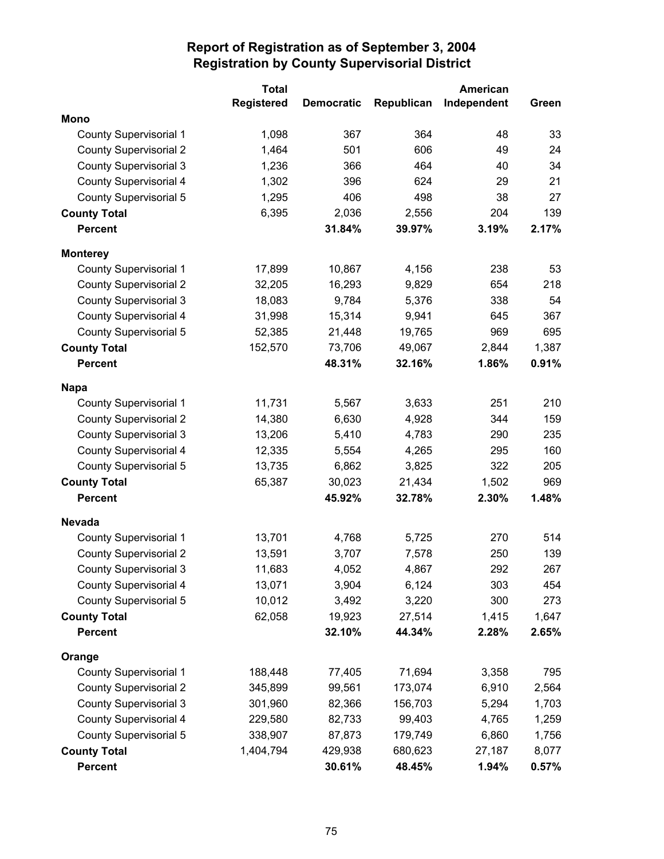|                               | <b>Total</b>      |                   |            | American    |       |
|-------------------------------|-------------------|-------------------|------------|-------------|-------|
|                               | <b>Registered</b> | <b>Democratic</b> | Republican | Independent | Green |
| <b>Mono</b>                   |                   |                   |            |             |       |
| <b>County Supervisorial 1</b> | 1,098             | 367               | 364        | 48          | 33    |
| <b>County Supervisorial 2</b> | 1,464             | 501               | 606        | 49          | 24    |
| <b>County Supervisorial 3</b> | 1,236             | 366               | 464        | 40          | 34    |
| <b>County Supervisorial 4</b> | 1,302             | 396               | 624        | 29          | 21    |
| <b>County Supervisorial 5</b> | 1,295             | 406               | 498        | 38          | 27    |
| <b>County Total</b>           | 6,395             | 2,036             | 2,556      | 204         | 139   |
| <b>Percent</b>                |                   | 31.84%            | 39.97%     | 3.19%       | 2.17% |
| <b>Monterey</b>               |                   |                   |            |             |       |
| <b>County Supervisorial 1</b> | 17,899            | 10,867            | 4,156      | 238         | 53    |
| <b>County Supervisorial 2</b> | 32,205            | 16,293            | 9,829      | 654         | 218   |
| <b>County Supervisorial 3</b> | 18,083            | 9,784             | 5,376      | 338         | 54    |
| <b>County Supervisorial 4</b> | 31,998            | 15,314            | 9,941      | 645         | 367   |
| <b>County Supervisorial 5</b> | 52,385            | 21,448            | 19,765     | 969         | 695   |
| <b>County Total</b>           | 152,570           | 73,706            | 49,067     | 2,844       | 1,387 |
| <b>Percent</b>                |                   | 48.31%            | 32.16%     | 1.86%       | 0.91% |
| <b>Napa</b>                   |                   |                   |            |             |       |
| County Supervisorial 1        | 11,731            | 5,567             | 3,633      | 251         | 210   |
| <b>County Supervisorial 2</b> | 14,380            | 6,630             | 4,928      | 344         | 159   |
| <b>County Supervisorial 3</b> | 13,206            | 5,410             | 4,783      | 290         | 235   |
| <b>County Supervisorial 4</b> | 12,335            | 5,554             | 4,265      | 295         | 160   |
| <b>County Supervisorial 5</b> | 13,735            | 6,862             | 3,825      | 322         | 205   |
| <b>County Total</b>           | 65,387            | 30,023            | 21,434     | 1,502       | 969   |
| <b>Percent</b>                |                   | 45.92%            | 32.78%     | 2.30%       | 1.48% |
| <b>Nevada</b>                 |                   |                   |            |             |       |
| <b>County Supervisorial 1</b> | 13,701            | 4,768             | 5,725      | 270         | 514   |
| <b>County Supervisorial 2</b> | 13,591            | 3,707             | 7,578      | 250         | 139   |
| <b>County Supervisorial 3</b> | 11,683            | 4,052             | 4,867      | 292         | 267   |
| County Supervisorial 4        | 13,071            | 3,904             | 6,124      | 303         | 454   |
| <b>County Supervisorial 5</b> | 10,012            | 3,492             | 3,220      | 300         | 273   |
| <b>County Total</b>           | 62,058            | 19,923            | 27,514     | 1,415       | 1,647 |
| <b>Percent</b>                |                   | 32.10%            | 44.34%     | 2.28%       | 2.65% |
| Orange                        |                   |                   |            |             |       |
| <b>County Supervisorial 1</b> | 188,448           | 77,405            | 71,694     | 3,358       | 795   |
| <b>County Supervisorial 2</b> | 345,899           | 99,561            | 173,074    | 6,910       | 2,564 |
| <b>County Supervisorial 3</b> | 301,960           | 82,366            | 156,703    | 5,294       | 1,703 |
| County Supervisorial 4        | 229,580           | 82,733            | 99,403     | 4,765       | 1,259 |
| <b>County Supervisorial 5</b> | 338,907           | 87,873            | 179,749    | 6,860       | 1,756 |
| <b>County Total</b>           | 1,404,794         | 429,938           | 680,623    | 27,187      | 8,077 |
| <b>Percent</b>                |                   | 30.61%            | 48.45%     | 1.94%       | 0.57% |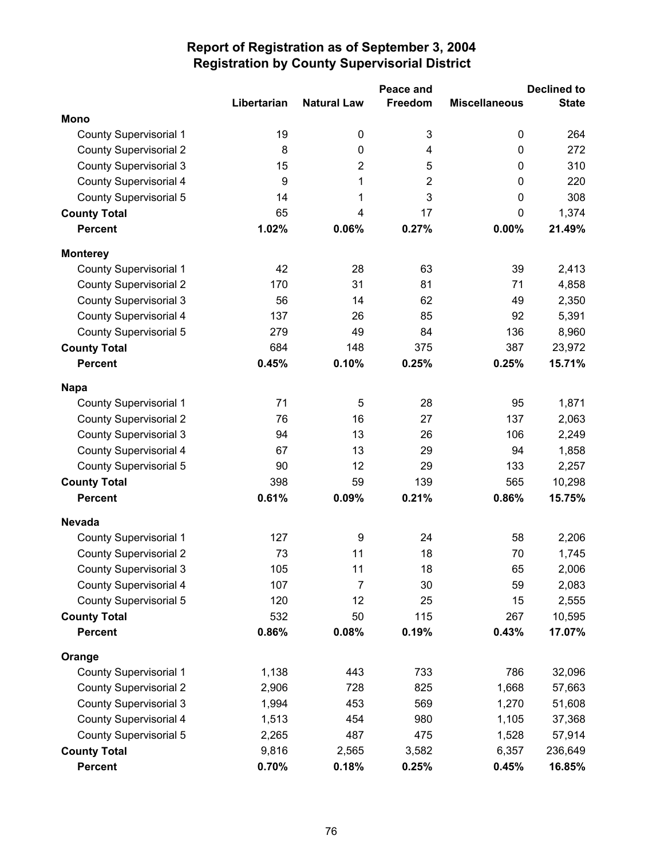|                               |                  |                    | Peace and      |                      | <b>Declined to</b> |
|-------------------------------|------------------|--------------------|----------------|----------------------|--------------------|
|                               | Libertarian      | <b>Natural Law</b> | Freedom        | <b>Miscellaneous</b> | <b>State</b>       |
| <b>Mono</b>                   |                  |                    |                |                      |                    |
| <b>County Supervisorial 1</b> | 19               | 0                  | $\mathsf 3$    | 0                    | 264                |
| <b>County Supervisorial 2</b> | $\bf 8$          | $\pmb{0}$          | 4              | 0                    | 272                |
| <b>County Supervisorial 3</b> | 15               | $\overline{2}$     | 5              | 0                    | 310                |
| <b>County Supervisorial 4</b> | $\boldsymbol{9}$ | 1                  | $\overline{2}$ | 0                    | 220                |
| <b>County Supervisorial 5</b> | 14               | 1                  | 3              | 0                    | 308                |
| <b>County Total</b>           | 65               | 4                  | 17             | 0                    | 1,374              |
| <b>Percent</b>                | 1.02%            | 0.06%              | 0.27%          | 0.00%                | 21.49%             |
| <b>Monterey</b>               |                  |                    |                |                      |                    |
| <b>County Supervisorial 1</b> | 42               | 28                 | 63             | 39                   | 2,413              |
| <b>County Supervisorial 2</b> | 170              | 31                 | 81             | 71                   | 4,858              |
| <b>County Supervisorial 3</b> | 56               | 14                 | 62             | 49                   | 2,350              |
| <b>County Supervisorial 4</b> | 137              | 26                 | 85             | 92                   | 5,391              |
| County Supervisorial 5        | 279              | 49                 | 84             | 136                  | 8,960              |
| <b>County Total</b>           | 684              | 148                | 375            | 387                  | 23,972             |
| <b>Percent</b>                | 0.45%            | 0.10%              | 0.25%          | 0.25%                | 15.71%             |
| <b>Napa</b>                   |                  |                    |                |                      |                    |
| <b>County Supervisorial 1</b> | 71               | 5                  | 28             | 95                   | 1,871              |
| <b>County Supervisorial 2</b> | 76               | 16                 | 27             | 137                  | 2,063              |
| <b>County Supervisorial 3</b> | 94               | 13                 | 26             | 106                  | 2,249              |
| <b>County Supervisorial 4</b> | 67               | 13                 | 29             | 94                   | 1,858              |
| County Supervisorial 5        | 90               | 12                 | 29             | 133                  | 2,257              |
| <b>County Total</b>           | 398              | 59                 | 139            | 565                  | 10,298             |
| <b>Percent</b>                | 0.61%            | 0.09%              | 0.21%          | 0.86%                | 15.75%             |
| <b>Nevada</b>                 |                  |                    |                |                      |                    |
| <b>County Supervisorial 1</b> | 127              | 9                  | 24             | 58                   | 2,206              |
| <b>County Supervisorial 2</b> | 73               | 11                 | 18             | 70                   | 1,745              |
| <b>County Supervisorial 3</b> | 105              | 11                 | 18             | 65                   | 2,006              |
| County Supervisorial 4        | 107              | 7                  | 30             | 59                   | 2,083              |
| <b>County Supervisorial 5</b> | 120              | 12                 | 25             | 15                   | 2,555              |
| <b>County Total</b>           | 532              | 50                 | 115            | 267                  | 10,595             |
| <b>Percent</b>                | 0.86%            | 0.08%              | 0.19%          | 0.43%                | 17.07%             |
| Orange                        |                  |                    |                |                      |                    |
| <b>County Supervisorial 1</b> | 1,138            | 443                | 733            | 786                  | 32,096             |
| <b>County Supervisorial 2</b> | 2,906            | 728                | 825            | 1,668                | 57,663             |
| <b>County Supervisorial 3</b> | 1,994            | 453                | 569            | 1,270                | 51,608             |
| <b>County Supervisorial 4</b> | 1,513            | 454                | 980            | 1,105                | 37,368             |
| <b>County Supervisorial 5</b> | 2,265            | 487                | 475            | 1,528                | 57,914             |
| <b>County Total</b>           | 9,816            | 2,565              | 3,582          | 6,357                | 236,649            |
| <b>Percent</b>                | 0.70%            | 0.18%              | 0.25%          | 0.45%                | 16.85%             |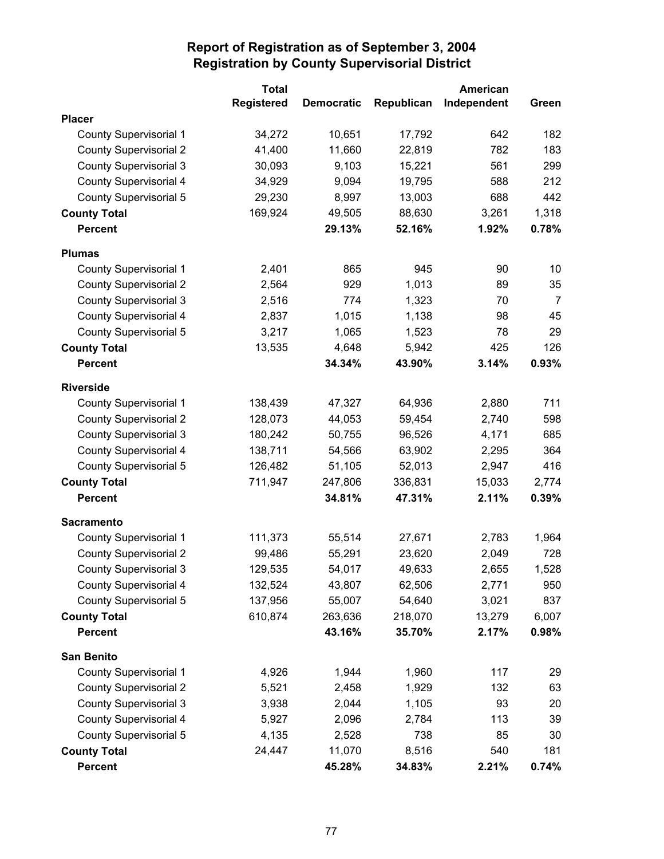|                               | <b>Total</b>      |                   |            | American    |                |
|-------------------------------|-------------------|-------------------|------------|-------------|----------------|
|                               | <b>Registered</b> | <b>Democratic</b> | Republican | Independent | Green          |
| <b>Placer</b>                 |                   |                   |            |             |                |
| <b>County Supervisorial 1</b> | 34,272            | 10,651            | 17,792     | 642         | 182            |
| <b>County Supervisorial 2</b> | 41,400            | 11,660            | 22,819     | 782         | 183            |
| <b>County Supervisorial 3</b> | 30,093            | 9,103             | 15,221     | 561         | 299            |
| <b>County Supervisorial 4</b> | 34,929            | 9,094             | 19,795     | 588         | 212            |
| <b>County Supervisorial 5</b> | 29,230            | 8,997             | 13,003     | 688         | 442            |
| <b>County Total</b>           | 169,924           | 49,505            | 88,630     | 3,261       | 1,318          |
| <b>Percent</b>                |                   | 29.13%            | 52.16%     | 1.92%       | 0.78%          |
| <b>Plumas</b>                 |                   |                   |            |             |                |
| County Supervisorial 1        | 2,401             | 865               | 945        | 90          | 10             |
| <b>County Supervisorial 2</b> | 2,564             | 929               | 1,013      | 89          | 35             |
| <b>County Supervisorial 3</b> | 2,516             | 774               | 1,323      | 70          | $\overline{7}$ |
| <b>County Supervisorial 4</b> | 2,837             | 1,015             | 1,138      | 98          | 45             |
| <b>County Supervisorial 5</b> | 3,217             | 1,065             | 1,523      | 78          | 29             |
| <b>County Total</b>           | 13,535            | 4,648             | 5,942      | 425         | 126            |
| <b>Percent</b>                |                   | 34.34%            | 43.90%     | 3.14%       | 0.93%          |
| <b>Riverside</b>              |                   |                   |            |             |                |
| <b>County Supervisorial 1</b> | 138,439           | 47,327            | 64,936     | 2,880       | 711            |
| <b>County Supervisorial 2</b> | 128,073           | 44,053            | 59,454     | 2,740       | 598            |
| <b>County Supervisorial 3</b> | 180,242           | 50,755            | 96,526     | 4,171       | 685            |
| <b>County Supervisorial 4</b> | 138,711           | 54,566            | 63,902     | 2,295       | 364            |
| <b>County Supervisorial 5</b> | 126,482           | 51,105            | 52,013     | 2,947       | 416            |
| <b>County Total</b>           | 711,947           | 247,806           | 336,831    | 15,033      | 2,774          |
| <b>Percent</b>                |                   | 34.81%            | 47.31%     | 2.11%       | 0.39%          |
| <b>Sacramento</b>             |                   |                   |            |             |                |
| <b>County Supervisorial 1</b> | 111,373           | 55,514            | 27,671     | 2,783       | 1,964          |
| <b>County Supervisorial 2</b> | 99,486            | 55,291            | 23,620     | 2,049       | 728            |
| <b>County Supervisorial 3</b> | 129,535           | 54,017            | 49,633     | 2,655       | 1,528          |
| County Supervisorial 4        | 132,524           | 43,807            | 62,506     | 2,771       | 950            |
| <b>County Supervisorial 5</b> | 137,956           | 55,007            | 54,640     | 3,021       | 837            |
| <b>County Total</b>           | 610,874           | 263,636           | 218,070    | 13,279      | 6,007          |
| <b>Percent</b>                |                   | 43.16%            | 35.70%     | 2.17%       | 0.98%          |
| <b>San Benito</b>             |                   |                   |            |             |                |
| <b>County Supervisorial 1</b> | 4,926             | 1,944             | 1,960      | 117         | 29             |
| <b>County Supervisorial 2</b> | 5,521             | 2,458             | 1,929      | 132         | 63             |
| <b>County Supervisorial 3</b> | 3,938             | 2,044             | 1,105      | 93          | 20             |
| <b>County Supervisorial 4</b> | 5,927             | 2,096             | 2,784      | 113         | 39             |
| County Supervisorial 5        | 4,135             | 2,528             | 738        | 85          | 30             |
| <b>County Total</b>           | 24,447            | 11,070            | 8,516      | 540         | 181            |
| <b>Percent</b>                |                   | 45.28%            | 34.83%     | 2.21%       | 0.74%          |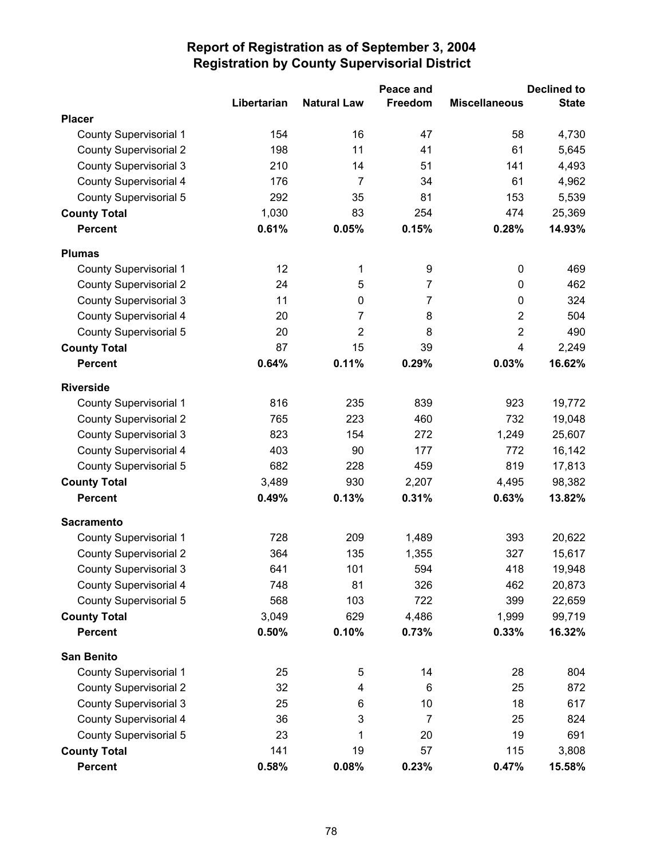|                               |             |                    | Peace and      |                      | <b>Declined to</b> |
|-------------------------------|-------------|--------------------|----------------|----------------------|--------------------|
|                               | Libertarian | <b>Natural Law</b> | Freedom        | <b>Miscellaneous</b> | <b>State</b>       |
| <b>Placer</b>                 |             |                    |                |                      |                    |
| <b>County Supervisorial 1</b> | 154         | 16                 | 47             | 58                   | 4,730              |
| <b>County Supervisorial 2</b> | 198         | 11                 | 41             | 61                   | 5,645              |
| <b>County Supervisorial 3</b> | 210         | 14                 | 51             | 141                  | 4,493              |
| County Supervisorial 4        | 176         | $\overline{7}$     | 34             | 61                   | 4,962              |
| <b>County Supervisorial 5</b> | 292         | 35                 | 81             | 153                  | 5,539              |
| <b>County Total</b>           | 1,030       | 83                 | 254            | 474                  | 25,369             |
| <b>Percent</b>                | 0.61%       | 0.05%              | 0.15%          | 0.28%                | 14.93%             |
| <b>Plumas</b>                 |             |                    |                |                      |                    |
| <b>County Supervisorial 1</b> | 12          | 1                  | 9              | 0                    | 469                |
| <b>County Supervisorial 2</b> | 24          | 5                  | $\overline{7}$ | 0                    | 462                |
| <b>County Supervisorial 3</b> | 11          | 0                  | $\overline{7}$ | 0                    | 324                |
| <b>County Supervisorial 4</b> | 20          | 7                  | 8              | $\overline{2}$       | 504                |
| County Supervisorial 5        | 20          | $\overline{2}$     | 8              | $\overline{2}$       | 490                |
| <b>County Total</b>           | 87          | 15                 | 39             | 4                    | 2,249              |
| <b>Percent</b>                | 0.64%       | 0.11%              | 0.29%          | 0.03%                | 16.62%             |
| <b>Riverside</b>              |             |                    |                |                      |                    |
| <b>County Supervisorial 1</b> | 816         | 235                | 839            | 923                  | 19,772             |
| <b>County Supervisorial 2</b> | 765         | 223                | 460            | 732                  | 19,048             |
| <b>County Supervisorial 3</b> | 823         | 154                | 272            | 1,249                | 25,607             |
| County Supervisorial 4        | 403         | 90                 | 177            | 772                  | 16,142             |
| County Supervisorial 5        | 682         | 228                | 459            | 819                  | 17,813             |
| <b>County Total</b>           | 3,489       | 930                | 2,207          | 4,495                | 98,382             |
| <b>Percent</b>                | 0.49%       | 0.13%              | 0.31%          | 0.63%                | 13.82%             |
| <b>Sacramento</b>             |             |                    |                |                      |                    |
| County Supervisorial 1        | 728         | 209                | 1,489          | 393                  | 20,622             |
| <b>County Supervisorial 2</b> | 364         | 135                | 1,355          | 327                  | 15,617             |
| <b>County Supervisorial 3</b> | 641         | 101                | 594            | 418                  | 19,948             |
| County Supervisorial 4        | 748         | 81                 | 326            | 462                  | 20,873             |
| County Supervisorial 5        | 568         | 103                | 722            | 399                  | 22,659             |
| <b>County Total</b>           | 3,049       | 629                | 4,486          | 1,999                | 99,719             |
| <b>Percent</b>                | 0.50%       | 0.10%              | 0.73%          | 0.33%                | 16.32%             |
| <b>San Benito</b>             |             |                    |                |                      |                    |
| <b>County Supervisorial 1</b> | 25          | 5                  | 14             | 28                   | 804                |
| <b>County Supervisorial 2</b> | 32          | 4                  | 6              | 25                   | 872                |
| <b>County Supervisorial 3</b> | 25          | 6                  | 10             | 18                   | 617                |
| County Supervisorial 4        | 36          | 3                  | 7              | 25                   | 824                |
| County Supervisorial 5        | 23          | 1                  | 20             | 19                   | 691                |
| <b>County Total</b>           | 141         | 19                 | 57             | 115                  | 3,808              |
| <b>Percent</b>                | 0.58%       | 0.08%              | 0.23%          | 0.47%                | 15.58%             |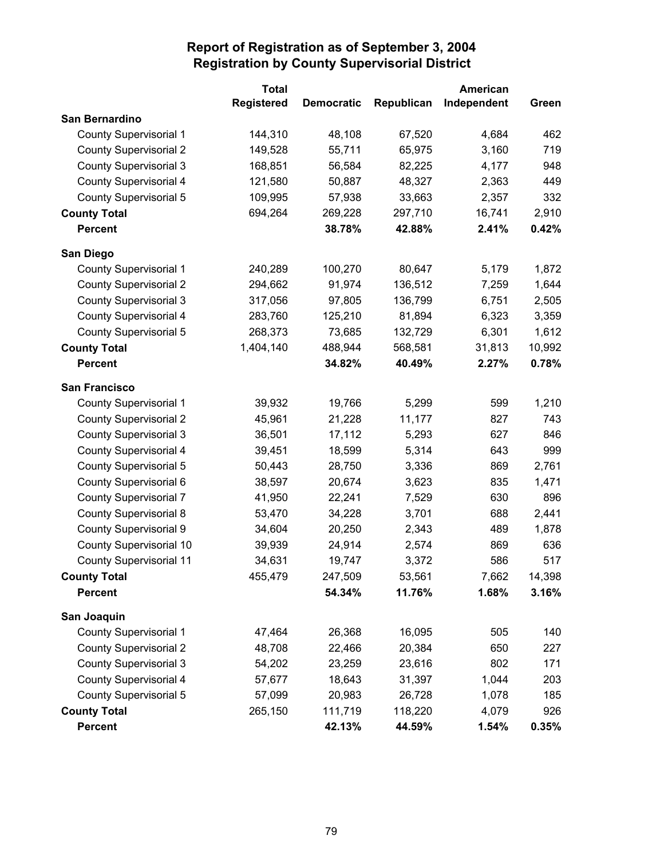|                                | <b>Total</b>      |                   |            | <b>American</b> |        |
|--------------------------------|-------------------|-------------------|------------|-----------------|--------|
|                                | <b>Registered</b> | <b>Democratic</b> | Republican | Independent     | Green  |
| <b>San Bernardino</b>          |                   |                   |            |                 |        |
| <b>County Supervisorial 1</b>  | 144,310           | 48,108            | 67,520     | 4,684           | 462    |
| <b>County Supervisorial 2</b>  | 149,528           | 55,711            | 65,975     | 3,160           | 719    |
| <b>County Supervisorial 3</b>  | 168,851           | 56,584            | 82,225     | 4,177           | 948    |
| County Supervisorial 4         | 121,580           | 50,887            | 48,327     | 2,363           | 449    |
| County Supervisorial 5         | 109,995           | 57,938            | 33,663     | 2,357           | 332    |
| <b>County Total</b>            | 694,264           | 269,228           | 297,710    | 16,741          | 2,910  |
| <b>Percent</b>                 |                   | 38.78%            | 42.88%     | 2.41%           | 0.42%  |
| San Diego                      |                   |                   |            |                 |        |
| <b>County Supervisorial 1</b>  | 240,289           | 100,270           | 80,647     | 5,179           | 1,872  |
| <b>County Supervisorial 2</b>  | 294,662           | 91,974            | 136,512    | 7,259           | 1,644  |
| <b>County Supervisorial 3</b>  | 317,056           | 97,805            | 136,799    | 6,751           | 2,505  |
| <b>County Supervisorial 4</b>  | 283,760           | 125,210           | 81,894     | 6,323           | 3,359  |
| <b>County Supervisorial 5</b>  | 268,373           | 73,685            | 132,729    | 6,301           | 1,612  |
| <b>County Total</b>            | 1,404,140         | 488,944           | 568,581    | 31,813          | 10,992 |
| <b>Percent</b>                 |                   | 34.82%            | 40.49%     | 2.27%           | 0.78%  |
| <b>San Francisco</b>           |                   |                   |            |                 |        |
| <b>County Supervisorial 1</b>  | 39,932            | 19,766            | 5,299      | 599             | 1,210  |
| <b>County Supervisorial 2</b>  | 45,961            | 21,228            | 11,177     | 827             | 743    |
| <b>County Supervisorial 3</b>  | 36,501            | 17,112            | 5,293      | 627             | 846    |
| County Supervisorial 4         | 39,451            | 18,599            | 5,314      | 643             | 999    |
| County Supervisorial 5         | 50,443            | 28,750            | 3,336      | 869             | 2,761  |
| County Supervisorial 6         | 38,597            | 20,674            | 3,623      | 835             | 1,471  |
| <b>County Supervisorial 7</b>  | 41,950            | 22,241            | 7,529      | 630             | 896    |
| <b>County Supervisorial 8</b>  | 53,470            | 34,228            | 3,701      | 688             | 2,441  |
| County Supervisorial 9         | 34,604            | 20,250            | 2,343      | 489             | 1,878  |
| County Supervisorial 10        | 39,939            | 24,914            | 2,574      | 869             | 636    |
| <b>County Supervisorial 11</b> | 34,631            | 19,747            | 3,372      | 586             | 517    |
| <b>County Total</b>            | 455,479           | 247,509           | 53,561     | 7,662           | 14,398 |
| <b>Percent</b>                 |                   | 54.34%            | 11.76%     | 1.68%           | 3.16%  |
| San Joaquin                    |                   |                   |            |                 |        |
| <b>County Supervisorial 1</b>  | 47,464            | 26,368            | 16,095     | 505             | 140    |
| <b>County Supervisorial 2</b>  | 48,708            | 22,466            | 20,384     | 650             | 227    |
| <b>County Supervisorial 3</b>  | 54,202            | 23,259            | 23,616     | 802             | 171    |
| County Supervisorial 4         | 57,677            | 18,643            | 31,397     | 1,044           | 203    |
| County Supervisorial 5         | 57,099            | 20,983            | 26,728     | 1,078           | 185    |
| <b>County Total</b>            | 265,150           | 111,719           | 118,220    | 4,079           | 926    |
| Percent                        |                   | 42.13%            | 44.59%     | 1.54%           | 0.35%  |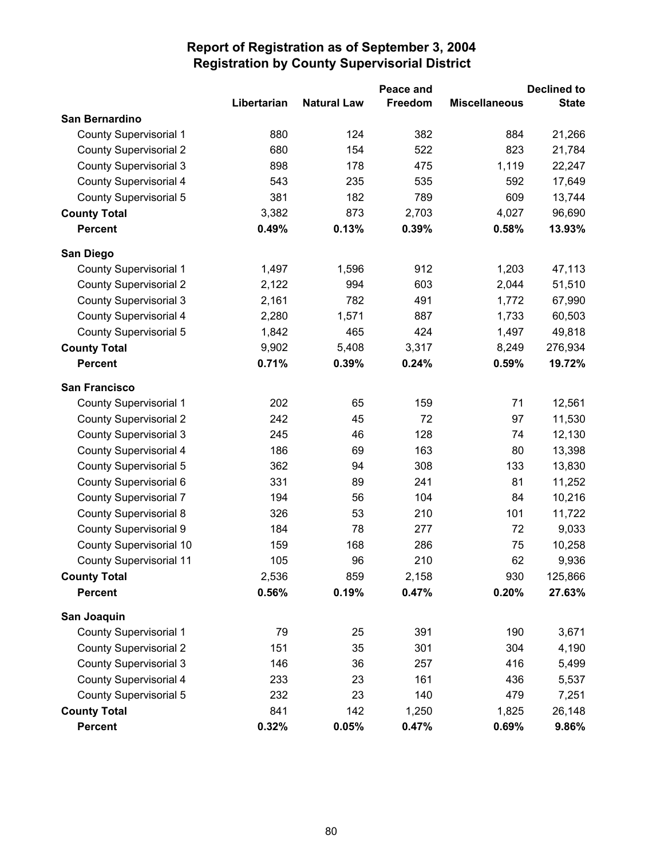|                                |             |                    | Peace and |                      | <b>Declined to</b> |
|--------------------------------|-------------|--------------------|-----------|----------------------|--------------------|
|                                | Libertarian | <b>Natural Law</b> | Freedom   | <b>Miscellaneous</b> | <b>State</b>       |
| San Bernardino                 |             |                    |           |                      |                    |
| <b>County Supervisorial 1</b>  | 880         | 124                | 382       | 884                  | 21,266             |
| <b>County Supervisorial 2</b>  | 680         | 154                | 522       | 823                  | 21,784             |
| <b>County Supervisorial 3</b>  | 898         | 178                | 475       | 1,119                | 22,247             |
| County Supervisorial 4         | 543         | 235                | 535       | 592                  | 17,649             |
| County Supervisorial 5         | 381         | 182                | 789       | 609                  | 13,744             |
| <b>County Total</b>            | 3,382       | 873                | 2,703     | 4,027                | 96,690             |
| <b>Percent</b>                 | 0.49%       | 0.13%              | 0.39%     | 0.58%                | 13.93%             |
| San Diego                      |             |                    |           |                      |                    |
| <b>County Supervisorial 1</b>  | 1,497       | 1,596              | 912       | 1,203                | 47,113             |
| <b>County Supervisorial 2</b>  | 2,122       | 994                | 603       | 2,044                | 51,510             |
| <b>County Supervisorial 3</b>  | 2,161       | 782                | 491       | 1,772                | 67,990             |
| County Supervisorial 4         | 2,280       | 1,571              | 887       | 1,733                | 60,503             |
| County Supervisorial 5         | 1,842       | 465                | 424       | 1,497                | 49,818             |
| <b>County Total</b>            | 9,902       | 5,408              | 3,317     | 8,249                | 276,934            |
| <b>Percent</b>                 | 0.71%       | 0.39%              | 0.24%     | 0.59%                | 19.72%             |
| <b>San Francisco</b>           |             |                    |           |                      |                    |
| <b>County Supervisorial 1</b>  | 202         | 65                 | 159       | 71                   | 12,561             |
| <b>County Supervisorial 2</b>  | 242         | 45                 | 72        | 97                   | 11,530             |
| <b>County Supervisorial 3</b>  | 245         | 46                 | 128       | 74                   | 12,130             |
| County Supervisorial 4         | 186         | 69                 | 163       | 80                   | 13,398             |
| County Supervisorial 5         | 362         | 94                 | 308       | 133                  | 13,830             |
| County Supervisorial 6         | 331         | 89                 | 241       | 81                   | 11,252             |
| <b>County Supervisorial 7</b>  | 194         | 56                 | 104       | 84                   | 10,216             |
| <b>County Supervisorial 8</b>  | 326         | 53                 | 210       | 101                  | 11,722             |
| County Supervisorial 9         | 184         | 78                 | 277       | 72                   | 9,033              |
| <b>County Supervisorial 10</b> | 159         | 168                | 286       | 75                   | 10,258             |
| <b>County Supervisorial 11</b> | 105         | 96                 | 210       | 62                   | 9,936              |
| <b>County Total</b>            | 2,536       | 859                | 2,158     | 930                  | 125,866            |
| <b>Percent</b>                 | 0.56%       | 0.19%              | 0.47%     | 0.20%                | 27.63%             |
| San Joaquin                    |             |                    |           |                      |                    |
| <b>County Supervisorial 1</b>  | 79          | 25                 | 391       | 190                  | 3,671              |
| <b>County Supervisorial 2</b>  | 151         | 35                 | 301       | 304                  | 4,190              |
| <b>County Supervisorial 3</b>  | 146         | 36                 | 257       | 416                  | 5,499              |
| <b>County Supervisorial 4</b>  | 233         | 23                 | 161       | 436                  | 5,537              |
| County Supervisorial 5         | 232         | 23                 | 140       | 479                  | 7,251              |
| <b>County Total</b>            | 841         | 142                | 1,250     | 1,825                | 26,148             |
| <b>Percent</b>                 | 0.32%       | 0.05%              | 0.47%     | 0.69%                | 9.86%              |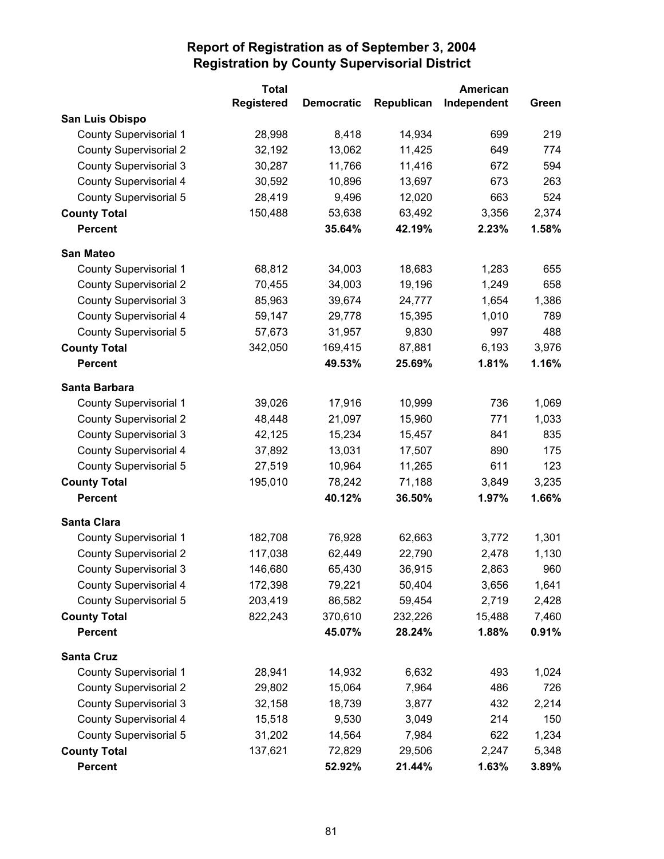|                               | <b>Total</b>      |                   |            | <b>American</b> |       |
|-------------------------------|-------------------|-------------------|------------|-----------------|-------|
|                               | <b>Registered</b> | <b>Democratic</b> | Republican | Independent     | Green |
| San Luis Obispo               |                   |                   |            |                 |       |
| <b>County Supervisorial 1</b> | 28,998            | 8,418             | 14,934     | 699             | 219   |
| <b>County Supervisorial 2</b> | 32,192            | 13,062            | 11,425     | 649             | 774   |
| <b>County Supervisorial 3</b> | 30,287            | 11,766            | 11,416     | 672             | 594   |
| <b>County Supervisorial 4</b> | 30,592            | 10,896            | 13,697     | 673             | 263   |
| <b>County Supervisorial 5</b> | 28,419            | 9,496             | 12,020     | 663             | 524   |
| <b>County Total</b>           | 150,488           | 53,638            | 63,492     | 3,356           | 2,374 |
| <b>Percent</b>                |                   | 35.64%            | 42.19%     | 2.23%           | 1.58% |
| <b>San Mateo</b>              |                   |                   |            |                 |       |
| <b>County Supervisorial 1</b> | 68,812            | 34,003            | 18,683     | 1,283           | 655   |
| <b>County Supervisorial 2</b> | 70,455            | 34,003            | 19,196     | 1,249           | 658   |
| <b>County Supervisorial 3</b> | 85,963            | 39,674            | 24,777     | 1,654           | 1,386 |
| <b>County Supervisorial 4</b> | 59,147            | 29,778            | 15,395     | 1,010           | 789   |
| County Supervisorial 5        | 57,673            | 31,957            | 9,830      | 997             | 488   |
| <b>County Total</b>           | 342,050           | 169,415           | 87,881     | 6,193           | 3,976 |
| <b>Percent</b>                |                   | 49.53%            | 25.69%     | 1.81%           | 1.16% |
| Santa Barbara                 |                   |                   |            |                 |       |
| <b>County Supervisorial 1</b> | 39,026            | 17,916            | 10,999     | 736             | 1,069 |
| <b>County Supervisorial 2</b> | 48,448            | 21,097            | 15,960     | 771             | 1,033 |
| <b>County Supervisorial 3</b> | 42,125            | 15,234            | 15,457     | 841             | 835   |
| <b>County Supervisorial 4</b> | 37,892            | 13,031            | 17,507     | 890             | 175   |
| County Supervisorial 5        | 27,519            | 10,964            | 11,265     | 611             | 123   |
| <b>County Total</b>           | 195,010           | 78,242            | 71,188     | 3,849           | 3,235 |
| <b>Percent</b>                |                   | 40.12%            | 36.50%     | 1.97%           | 1.66% |
| Santa Clara                   |                   |                   |            |                 |       |
| <b>County Supervisorial 1</b> | 182,708           | 76,928            | 62,663     | 3,772           | 1,301 |
| <b>County Supervisorial 2</b> | 117,038           | 62,449            | 22,790     | 2,478           | 1,130 |
| <b>County Supervisorial 3</b> | 146,680           | 65,430            | 36,915     | 2,863           | 960   |
| County Supervisorial 4        | 172,398           | 79,221            | 50,404     | 3,656           | 1,641 |
| <b>County Supervisorial 5</b> | 203,419           | 86,582            | 59,454     | 2,719           | 2,428 |
| <b>County Total</b>           | 822,243           | 370,610           | 232,226    | 15,488          | 7,460 |
| Percent                       |                   | 45.07%            | 28.24%     | 1.88%           | 0.91% |
| <b>Santa Cruz</b>             |                   |                   |            |                 |       |
| <b>County Supervisorial 1</b> | 28,941            | 14,932            | 6,632      | 493             | 1,024 |
| <b>County Supervisorial 2</b> | 29,802            | 15,064            | 7,964      | 486             | 726   |
| <b>County Supervisorial 3</b> | 32,158            | 18,739            | 3,877      | 432             | 2,214 |
| County Supervisorial 4        | 15,518            | 9,530             | 3,049      | 214             | 150   |
| County Supervisorial 5        | 31,202            | 14,564            | 7,984      | 622             | 1,234 |
| <b>County Total</b>           | 137,621           | 72,829            | 29,506     | 2,247           | 5,348 |
| <b>Percent</b>                |                   | 52.92%            | 21.44%     | 1.63%           | 3.89% |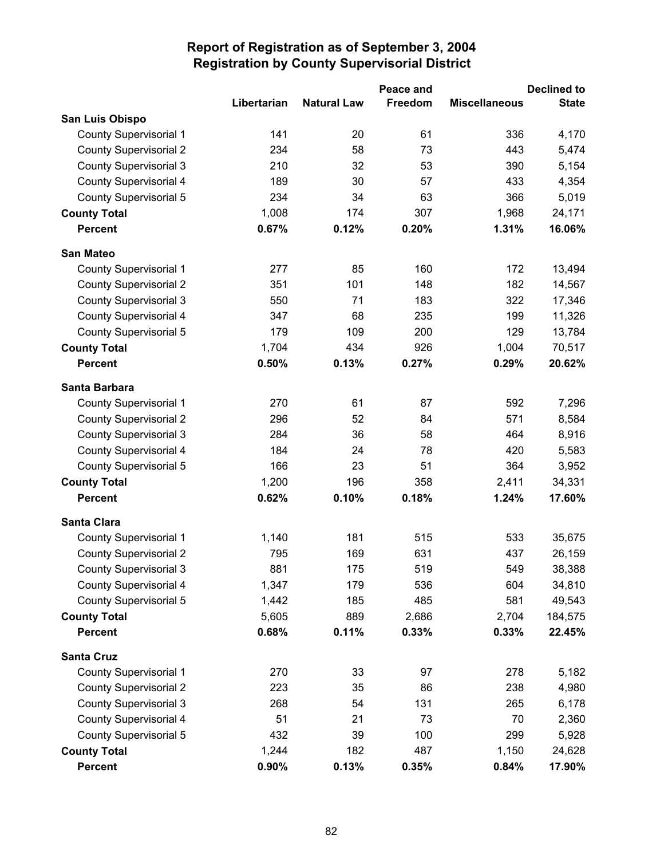|                               |             | Peace and          |         | <b>Declined to</b>   |              |  |
|-------------------------------|-------------|--------------------|---------|----------------------|--------------|--|
|                               | Libertarian | <b>Natural Law</b> | Freedom | <b>Miscellaneous</b> | <b>State</b> |  |
| San Luis Obispo               |             |                    |         |                      |              |  |
| <b>County Supervisorial 1</b> | 141         | 20                 | 61      | 336                  | 4,170        |  |
| <b>County Supervisorial 2</b> | 234         | 58                 | 73      | 443                  | 5,474        |  |
| <b>County Supervisorial 3</b> | 210         | 32                 | 53      | 390                  | 5,154        |  |
| <b>County Supervisorial 4</b> | 189         | 30                 | 57      | 433                  | 4,354        |  |
| <b>County Supervisorial 5</b> | 234         | 34                 | 63      | 366                  | 5,019        |  |
| <b>County Total</b>           | 1,008       | 174                | 307     | 1,968                | 24,171       |  |
| <b>Percent</b>                | 0.67%       | 0.12%              | 0.20%   | 1.31%                | 16.06%       |  |
| <b>San Mateo</b>              |             |                    |         |                      |              |  |
| <b>County Supervisorial 1</b> | 277         | 85                 | 160     | 172                  | 13,494       |  |
| <b>County Supervisorial 2</b> | 351         | 101                | 148     | 182                  | 14,567       |  |
| <b>County Supervisorial 3</b> | 550         | 71                 | 183     | 322                  | 17,346       |  |
| <b>County Supervisorial 4</b> | 347         | 68                 | 235     | 199                  | 11,326       |  |
| County Supervisorial 5        | 179         | 109                | 200     | 129                  | 13,784       |  |
| <b>County Total</b>           | 1,704       | 434                | 926     | 1,004                | 70,517       |  |
| <b>Percent</b>                | 0.50%       | 0.13%              | 0.27%   | 0.29%                | 20.62%       |  |
| Santa Barbara                 |             |                    |         |                      |              |  |
| <b>County Supervisorial 1</b> | 270         | 61                 | 87      | 592                  | 7,296        |  |
| <b>County Supervisorial 2</b> | 296         | 52                 | 84      | 571                  | 8,584        |  |
| <b>County Supervisorial 3</b> | 284         | 36                 | 58      | 464                  | 8,916        |  |
| <b>County Supervisorial 4</b> | 184         | 24                 | 78      | 420                  | 5,583        |  |
| <b>County Supervisorial 5</b> | 166         | 23                 | 51      | 364                  | 3,952        |  |
| <b>County Total</b>           | 1,200       | 196                | 358     | 2,411                | 34,331       |  |
| <b>Percent</b>                | 0.62%       | 0.10%              | 0.18%   | 1.24%                | 17.60%       |  |
| <b>Santa Clara</b>            |             |                    |         |                      |              |  |
| County Supervisorial 1        | 1,140       | 181                | 515     | 533                  | 35,675       |  |
| <b>County Supervisorial 2</b> | 795         | 169                | 631     | 437                  | 26,159       |  |
| <b>County Supervisorial 3</b> | 881         | 175                | 519     | 549                  | 38,388       |  |
| County Supervisorial 4        | 1,347       | 179                | 536     | 604                  | 34,810       |  |
| <b>County Supervisorial 5</b> | 1,442       | 185                | 485     | 581                  | 49,543       |  |
| <b>County Total</b>           | 5,605       | 889                | 2,686   | 2,704                | 184,575      |  |
| <b>Percent</b>                | 0.68%       | 0.11%              | 0.33%   | 0.33%                | 22.45%       |  |
| <b>Santa Cruz</b>             |             |                    |         |                      |              |  |
| <b>County Supervisorial 1</b> | 270         | 33                 | 97      | 278                  | 5,182        |  |
| <b>County Supervisorial 2</b> | 223         | 35                 | 86      | 238                  | 4,980        |  |
| <b>County Supervisorial 3</b> | 268         | 54                 | 131     | 265                  | 6,178        |  |
| <b>County Supervisorial 4</b> | 51          | 21                 | 73      | 70                   | 2,360        |  |
| <b>County Supervisorial 5</b> | 432         | 39                 | 100     | 299                  | 5,928        |  |
| <b>County Total</b>           | 1,244       | 182                | 487     | 1,150                | 24,628       |  |
| <b>Percent</b>                | 0.90%       | 0.13%              | 0.35%   | 0.84%                | 17.90%       |  |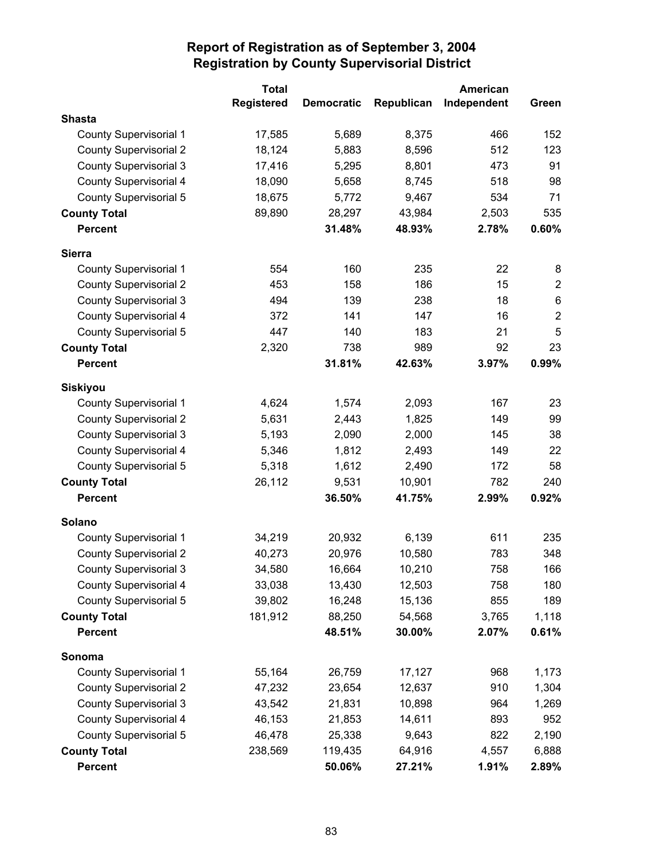|                               | <b>Total</b>      |                   |            | American    |                |
|-------------------------------|-------------------|-------------------|------------|-------------|----------------|
|                               | <b>Registered</b> | <b>Democratic</b> | Republican | Independent | Green          |
| <b>Shasta</b>                 |                   |                   |            |             |                |
| <b>County Supervisorial 1</b> | 17,585            | 5,689             | 8,375      | 466         | 152            |
| <b>County Supervisorial 2</b> | 18,124            | 5,883             | 8,596      | 512         | 123            |
| <b>County Supervisorial 3</b> | 17,416            | 5,295             | 8,801      | 473         | 91             |
| <b>County Supervisorial 4</b> | 18,090            | 5,658             | 8,745      | 518         | 98             |
| <b>County Supervisorial 5</b> | 18,675            | 5,772             | 9,467      | 534         | 71             |
| <b>County Total</b>           | 89,890            | 28,297            | 43,984     | 2,503       | 535            |
| <b>Percent</b>                |                   | 31.48%            | 48.93%     | 2.78%       | 0.60%          |
| <b>Sierra</b>                 |                   |                   |            |             |                |
| County Supervisorial 1        | 554               | 160               | 235        | 22          | 8              |
| <b>County Supervisorial 2</b> | 453               | 158               | 186        | 15          | $\overline{2}$ |
| <b>County Supervisorial 3</b> | 494               | 139               | 238        | 18          | $\,6\,$        |
| <b>County Supervisorial 4</b> | 372               | 141               | 147        | 16          | $\overline{2}$ |
| <b>County Supervisorial 5</b> | 447               | 140               | 183        | 21          | 5              |
| <b>County Total</b>           | 2,320             | 738               | 989        | 92          | 23             |
| <b>Percent</b>                |                   | 31.81%            | 42.63%     | 3.97%       | 0.99%          |
| <b>Siskiyou</b>               |                   |                   |            |             |                |
| <b>County Supervisorial 1</b> | 4,624             | 1,574             | 2,093      | 167         | 23             |
| <b>County Supervisorial 2</b> | 5,631             | 2,443             | 1,825      | 149         | 99             |
| <b>County Supervisorial 3</b> | 5,193             | 2,090             | 2,000      | 145         | 38             |
| <b>County Supervisorial 4</b> | 5,346             | 1,812             | 2,493      | 149         | 22             |
| <b>County Supervisorial 5</b> | 5,318             | 1,612             | 2,490      | 172         | 58             |
| <b>County Total</b>           | 26,112            | 9,531             | 10,901     | 782         | 240            |
| <b>Percent</b>                |                   | 36.50%            | 41.75%     | 2.99%       | 0.92%          |
| <b>Solano</b>                 |                   |                   |            |             |                |
| <b>County Supervisorial 1</b> | 34,219            | 20,932            | 6,139      | 611         | 235            |
| <b>County Supervisorial 2</b> | 40,273            | 20,976            | 10,580     | 783         | 348            |
| <b>County Supervisorial 3</b> | 34,580            | 16,664            | 10,210     | 758         | 166            |
| County Supervisorial 4        | 33,038            | 13,430            | 12,503     | 758         | 180            |
| County Supervisorial 5        | 39,802            | 16,248            | 15,136     | 855         | 189            |
| <b>County Total</b>           | 181,912           | 88,250            | 54,568     | 3,765       | 1,118          |
| <b>Percent</b>                |                   | 48.51%            | 30.00%     | 2.07%       | 0.61%          |
| Sonoma                        |                   |                   |            |             |                |
| County Supervisorial 1        | 55,164            | 26,759            | 17,127     | 968         | 1,173          |
| <b>County Supervisorial 2</b> | 47,232            | 23,654            | 12,637     | 910         | 1,304          |
| <b>County Supervisorial 3</b> | 43,542            | 21,831            | 10,898     | 964         | 1,269          |
| <b>County Supervisorial 4</b> | 46,153            | 21,853            | 14,611     | 893         | 952            |
| County Supervisorial 5        | 46,478            | 25,338            | 9,643      | 822         | 2,190          |
| <b>County Total</b>           | 238,569           | 119,435           | 64,916     | 4,557       | 6,888          |
| <b>Percent</b>                |                   | 50.06%            | 27.21%     | 1.91%       | 2.89%          |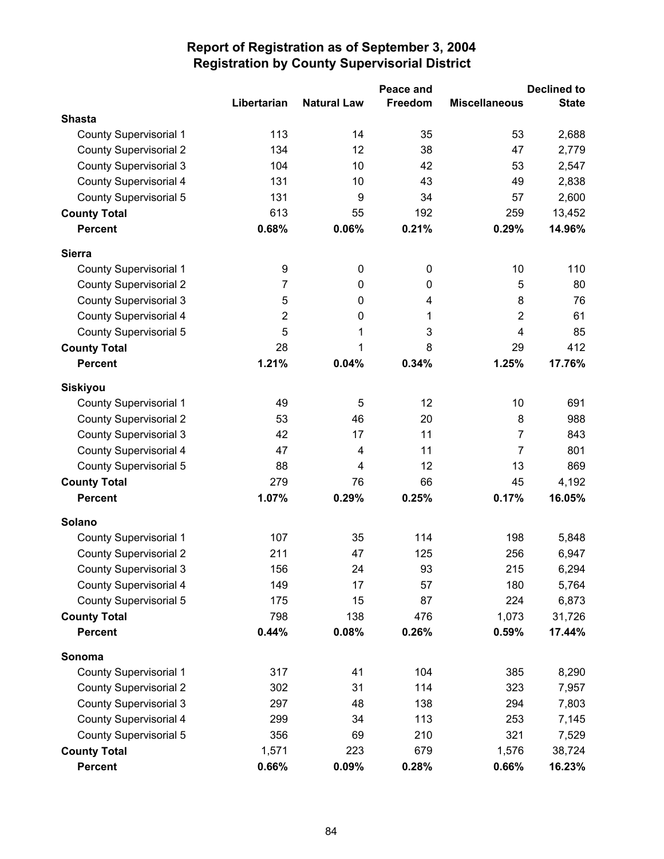|                               |                |                    | Peace and   | <b>Declined to</b>      |              |  |
|-------------------------------|----------------|--------------------|-------------|-------------------------|--------------|--|
|                               | Libertarian    | <b>Natural Law</b> | Freedom     | <b>Miscellaneous</b>    | <b>State</b> |  |
| <b>Shasta</b>                 |                |                    |             |                         |              |  |
| <b>County Supervisorial 1</b> | 113            | 14                 | 35          | 53                      | 2,688        |  |
| <b>County Supervisorial 2</b> | 134            | 12                 | 38          | 47                      | 2,779        |  |
| <b>County Supervisorial 3</b> | 104            | 10                 | 42          | 53                      | 2,547        |  |
| County Supervisorial 4        | 131            | 10                 | 43          | 49                      | 2,838        |  |
| County Supervisorial 5        | 131            | 9                  | 34          | 57                      | 2,600        |  |
| <b>County Total</b>           | 613            | 55                 | 192         | 259                     | 13,452       |  |
| <b>Percent</b>                | 0.68%          | 0.06%              | 0.21%       | 0.29%                   | 14.96%       |  |
| <b>Sierra</b>                 |                |                    |             |                         |              |  |
| <b>County Supervisorial 1</b> | 9              | $\mathbf 0$        | $\mathbf 0$ | 10                      | 110          |  |
| <b>County Supervisorial 2</b> | 7              | 0                  | 0           | 5                       | 80           |  |
| <b>County Supervisorial 3</b> | 5              | 0                  | 4           | 8                       | 76           |  |
| <b>County Supervisorial 4</b> | $\overline{2}$ | 0                  | 1           | $\overline{2}$          | 61           |  |
| County Supervisorial 5        | 5              | 1                  | 3           | $\overline{\mathbf{4}}$ | 85           |  |
| <b>County Total</b>           | 28             | 1                  | 8           | 29                      | 412          |  |
| <b>Percent</b>                | 1.21%          | 0.04%              | 0.34%       | 1.25%                   | 17.76%       |  |
| <b>Siskiyou</b>               |                |                    |             |                         |              |  |
| <b>County Supervisorial 1</b> | 49             | 5                  | 12          | 10                      | 691          |  |
| <b>County Supervisorial 2</b> | 53             | 46                 | 20          | 8                       | 988          |  |
| <b>County Supervisorial 3</b> | 42             | 17                 | 11          | $\overline{7}$          | 843          |  |
| <b>County Supervisorial 4</b> | 47             | 4                  | 11          | $\overline{7}$          | 801          |  |
| County Supervisorial 5        | 88             | 4                  | 12          | 13                      | 869          |  |
| <b>County Total</b>           | 279            | 76                 | 66          | 45                      | 4,192        |  |
| <b>Percent</b>                | 1.07%          | 0.29%              | 0.25%       | 0.17%                   | 16.05%       |  |
| Solano                        |                |                    |             |                         |              |  |
| <b>County Supervisorial 1</b> | 107            | 35                 | 114         | 198                     | 5,848        |  |
| <b>County Supervisorial 2</b> | 211            | 47                 | 125         | 256                     | 6,947        |  |
| <b>County Supervisorial 3</b> | 156            | 24                 | 93          | 215                     | 6,294        |  |
| County Supervisorial 4        | 149            | 17                 | 57          | 180                     | 5,764        |  |
| County Supervisorial 5        | 175            | 15                 | 87          | 224                     | 6,873        |  |
| <b>County Total</b>           | 798            | 138                | 476         | 1,073                   | 31,726       |  |
| <b>Percent</b>                | 0.44%          | 0.08%              | 0.26%       | 0.59%                   | 17.44%       |  |
| Sonoma                        |                |                    |             |                         |              |  |
| <b>County Supervisorial 1</b> | 317            | 41                 | 104         | 385                     | 8,290        |  |
| <b>County Supervisorial 2</b> | 302            | 31                 | 114         | 323                     | 7,957        |  |
| <b>County Supervisorial 3</b> | 297            | 48                 | 138         | 294                     | 7,803        |  |
| County Supervisorial 4        | 299            | 34                 | 113         | 253                     | 7,145        |  |
| County Supervisorial 5        | 356            | 69                 | 210         | 321                     | 7,529        |  |
| <b>County Total</b>           | 1,571          | 223                | 679         | 1,576                   | 38,724       |  |
| <b>Percent</b>                | 0.66%          | 0.09%              | 0.28%       | 0.66%                   | 16.23%       |  |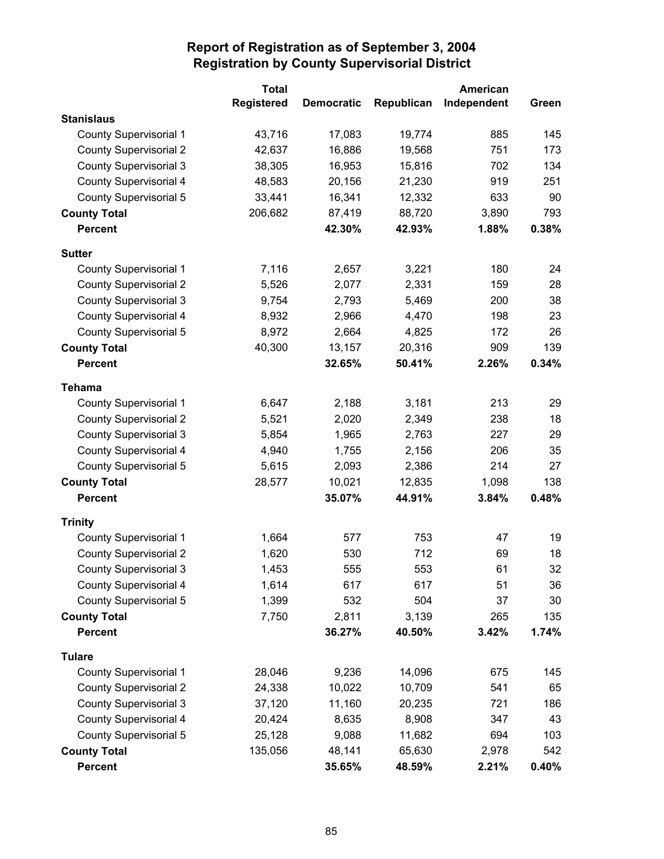|                               | <b>Total</b>      |                   |            | American    |       |
|-------------------------------|-------------------|-------------------|------------|-------------|-------|
|                               | <b>Registered</b> | <b>Democratic</b> | Republican | Independent | Green |
| <b>Stanislaus</b>             |                   |                   |            |             |       |
| <b>County Supervisorial 1</b> | 43,716            | 17,083            | 19,774     | 885         | 145   |
| <b>County Supervisorial 2</b> | 42,637            | 16,886            | 19,568     | 751         | 173   |
| <b>County Supervisorial 3</b> | 38,305            | 16,953            | 15,816     | 702         | 134   |
| <b>County Supervisorial 4</b> | 48,583            | 20,156            | 21,230     | 919         | 251   |
| <b>County Supervisorial 5</b> | 33,441            | 16,341            | 12,332     | 633         | 90    |
| <b>County Total</b>           | 206,682           | 87,419            | 88,720     | 3,890       | 793   |
| <b>Percent</b>                |                   | 42.30%            | 42.93%     | 1.88%       | 0.38% |
| <b>Sutter</b>                 |                   |                   |            |             |       |
| County Supervisorial 1        | 7,116             | 2,657             | 3,221      | 180         | 24    |
| <b>County Supervisorial 2</b> | 5,526             | 2,077             | 2,331      | 159         | 28    |
| <b>County Supervisorial 3</b> | 9,754             | 2,793             | 5,469      | 200         | 38    |
| <b>County Supervisorial 4</b> | 8,932             | 2,966             | 4,470      | 198         | 23    |
| <b>County Supervisorial 5</b> | 8,972             | 2,664             | 4,825      | 172         | 26    |
| <b>County Total</b>           | 40,300            | 13,157            | 20,316     | 909         | 139   |
| <b>Percent</b>                |                   | 32.65%            | 50.41%     | 2.26%       | 0.34% |
| <b>Tehama</b>                 |                   |                   |            |             |       |
| <b>County Supervisorial 1</b> | 6,647             | 2,188             | 3,181      | 213         | 29    |
| <b>County Supervisorial 2</b> | 5,521             | 2,020             | 2,349      | 238         | 18    |
| <b>County Supervisorial 3</b> | 5,854             | 1,965             | 2,763      | 227         | 29    |
| <b>County Supervisorial 4</b> | 4,940             | 1,755             | 2,156      | 206         | 35    |
| <b>County Supervisorial 5</b> | 5,615             | 2,093             | 2,386      | 214         | 27    |
| <b>County Total</b>           | 28,577            | 10,021            | 12,835     | 1,098       | 138   |
| <b>Percent</b>                |                   | 35.07%            | 44.91%     | 3.84%       | 0.48% |
| <b>Trinity</b>                |                   |                   |            |             |       |
| <b>County Supervisorial 1</b> | 1,664             | 577               | 753        | 47          | 19    |
| <b>County Supervisorial 2</b> | 1,620             | 530               | 712        | 69          | 18    |
| <b>County Supervisorial 3</b> | 1,453             | 555               | 553        | 61          | 32    |
| County Supervisorial 4        | 1,614             | 617               | 617        | 51          | 36    |
| <b>County Supervisorial 5</b> | 1,399             | 532               | 504        | 37          | 30    |
| <b>County Total</b>           | 7,750             | 2,811             | 3,139      | 265         | 135   |
| <b>Percent</b>                |                   | 36.27%            | 40.50%     | 3.42%       | 1.74% |
| <b>Tulare</b>                 |                   |                   |            |             |       |
| <b>County Supervisorial 1</b> | 28,046            | 9,236             | 14,096     | 675         | 145   |
| <b>County Supervisorial 2</b> | 24,338            | 10,022            | 10,709     | 541         | 65    |
| <b>County Supervisorial 3</b> | 37,120            | 11,160            | 20,235     | 721         | 186   |
| <b>County Supervisorial 4</b> | 20,424            | 8,635             | 8,908      | 347         | 43    |
| <b>County Supervisorial 5</b> | 25,128            | 9,088             | 11,682     | 694         | 103   |
| <b>County Total</b>           | 135,056           | 48,141            | 65,630     | 2,978       | 542   |
| <b>Percent</b>                |                   | 35.65%            | 48.59%     | 2.21%       | 0.40% |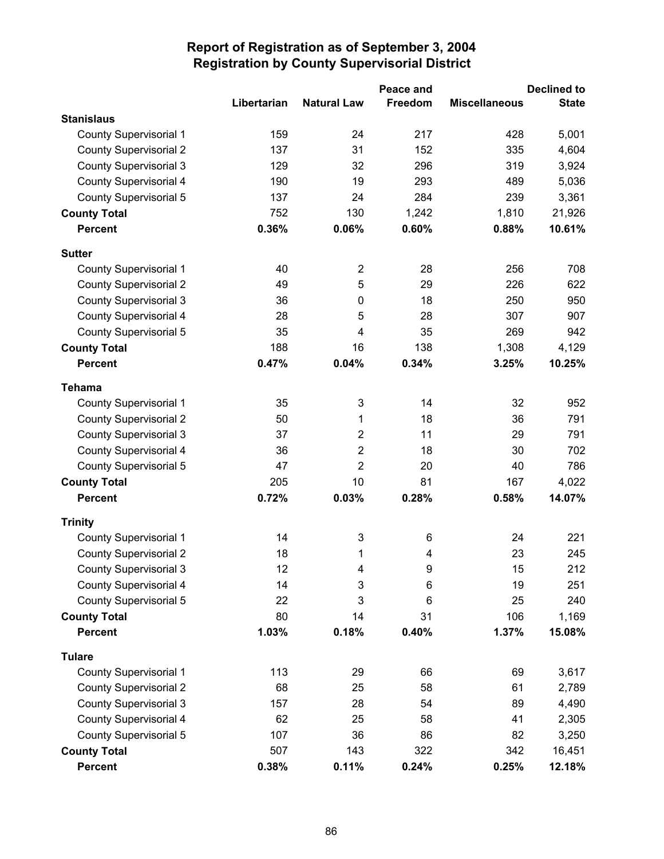|                               |             |                         | Peace and |                      | <b>Declined to</b> |
|-------------------------------|-------------|-------------------------|-----------|----------------------|--------------------|
|                               | Libertarian | <b>Natural Law</b>      | Freedom   | <b>Miscellaneous</b> | <b>State</b>       |
| <b>Stanislaus</b>             |             |                         |           |                      |                    |
| <b>County Supervisorial 1</b> | 159         | 24                      | 217       | 428                  | 5,001              |
| <b>County Supervisorial 2</b> | 137         | 31                      | 152       | 335                  | 4,604              |
| <b>County Supervisorial 3</b> | 129         | 32                      | 296       | 319                  | 3,924              |
| County Supervisorial 4        | 190         | 19                      | 293       | 489                  | 5,036              |
| <b>County Supervisorial 5</b> | 137         | 24                      | 284       | 239                  | 3,361              |
| <b>County Total</b>           | 752         | 130                     | 1,242     | 1,810                | 21,926             |
| <b>Percent</b>                | 0.36%       | 0.06%                   | 0.60%     | 0.88%                | 10.61%             |
| <b>Sutter</b>                 |             |                         |           |                      |                    |
| <b>County Supervisorial 1</b> | 40          | $\overline{2}$          | 28        | 256                  | 708                |
| <b>County Supervisorial 2</b> | 49          | 5                       | 29        | 226                  | 622                |
| <b>County Supervisorial 3</b> | 36          | 0                       | 18        | 250                  | 950                |
| County Supervisorial 4        | 28          | 5                       | 28        | 307                  | 907                |
| County Supervisorial 5        | 35          | 4                       | 35        | 269                  | 942                |
| <b>County Total</b>           | 188         | 16                      | 138       | 1,308                | 4,129              |
| <b>Percent</b>                | 0.47%       | 0.04%                   | 0.34%     | 3.25%                | 10.25%             |
| <b>Tehama</b>                 |             |                         |           |                      |                    |
| <b>County Supervisorial 1</b> | 35          | 3                       | 14        | 32                   | 952                |
| <b>County Supervisorial 2</b> | 50          | 1                       | 18        | 36                   | 791                |
| <b>County Supervisorial 3</b> | 37          | $\overline{2}$          | 11        | 29                   | 791                |
| County Supervisorial 4        | 36          | $\overline{\mathbf{c}}$ | 18        | 30                   | 702                |
| County Supervisorial 5        | 47          | $\overline{2}$          | 20        | 40                   | 786                |
| <b>County Total</b>           | 205         | 10                      | 81        | 167                  | 4,022              |
| <b>Percent</b>                | 0.72%       | 0.03%                   | 0.28%     | 0.58%                | 14.07%             |
| <b>Trinity</b>                |             |                         |           |                      |                    |
| <b>County Supervisorial 1</b> | 14          | 3                       | 6         | 24                   | 221                |
| <b>County Supervisorial 2</b> | 18          | 1                       | 4         | 23                   | 245                |
| <b>County Supervisorial 3</b> | 12          | 4                       | 9         | 15                   | 212                |
| County Supervisorial 4        | 14          | 3                       | 6         | 19                   | 251                |
| County Supervisorial 5        | 22          | 3                       | 6         | 25                   | 240                |
| <b>County Total</b>           | 80          | 14                      | 31        | 106                  | 1,169              |
| <b>Percent</b>                | 1.03%       | 0.18%                   | 0.40%     | 1.37%                | 15.08%             |
| <b>Tulare</b>                 |             |                         |           |                      |                    |
| <b>County Supervisorial 1</b> | 113         | 29                      | 66        | 69                   | 3,617              |
| <b>County Supervisorial 2</b> | 68          | 25                      | 58        | 61                   | 2,789              |
| <b>County Supervisorial 3</b> | 157         | 28                      | 54        | 89                   | 4,490              |
| County Supervisorial 4        | 62          | 25                      | 58        | 41                   | 2,305              |
| County Supervisorial 5        | 107         | 36                      | 86        | 82                   | 3,250              |
| <b>County Total</b>           | 507         | 143                     | 322       | 342                  | 16,451             |
| <b>Percent</b>                | 0.38%       | 0.11%                   | 0.24%     | 0.25%                | 12.18%             |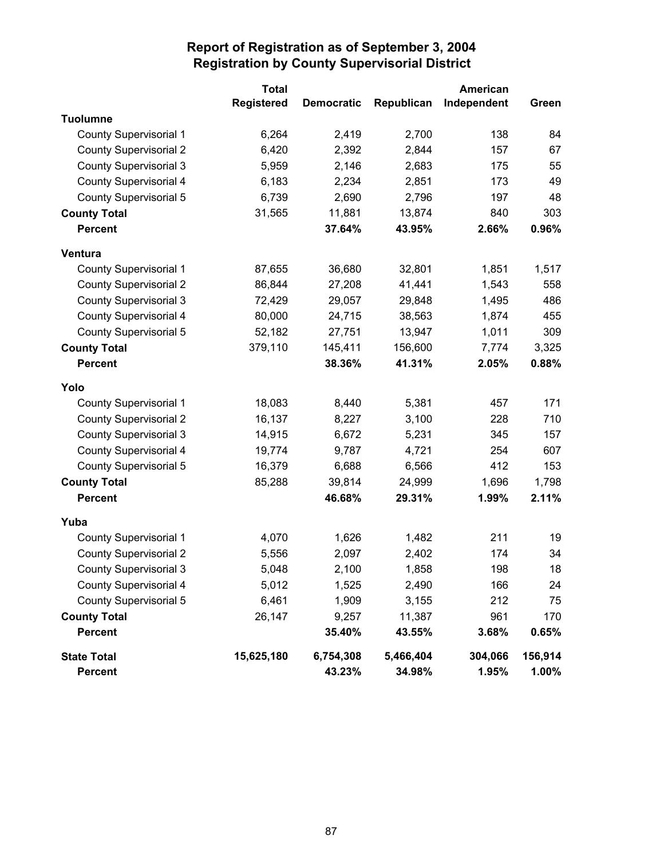|                               | <b>Total</b>      |                   |            | American    |         |
|-------------------------------|-------------------|-------------------|------------|-------------|---------|
|                               | <b>Registered</b> | <b>Democratic</b> | Republican | Independent | Green   |
| <b>Tuolumne</b>               |                   |                   |            |             |         |
| <b>County Supervisorial 1</b> | 6,264             | 2,419             | 2,700      | 138         | 84      |
| <b>County Supervisorial 2</b> | 6,420             | 2,392             | 2,844      | 157         | 67      |
| <b>County Supervisorial 3</b> | 5,959             | 2,146             | 2,683      | 175         | 55      |
| <b>County Supervisorial 4</b> | 6,183             | 2,234             | 2,851      | 173         | 49      |
| <b>County Supervisorial 5</b> | 6,739             | 2,690             | 2,796      | 197         | 48      |
| <b>County Total</b>           | 31,565            | 11,881            | 13,874     | 840         | 303     |
| <b>Percent</b>                |                   | 37.64%            | 43.95%     | 2.66%       | 0.96%   |
| Ventura                       |                   |                   |            |             |         |
| County Supervisorial 1        | 87,655            | 36,680            | 32,801     | 1,851       | 1,517   |
| <b>County Supervisorial 2</b> | 86,844            | 27,208            | 41,441     | 1,543       | 558     |
| <b>County Supervisorial 3</b> | 72,429            | 29,057            | 29,848     | 1,495       | 486     |
| County Supervisorial 4        | 80,000            | 24,715            | 38,563     | 1,874       | 455     |
| <b>County Supervisorial 5</b> | 52,182            | 27,751            | 13,947     | 1,011       | 309     |
| <b>County Total</b>           | 379,110           | 145,411           | 156,600    | 7,774       | 3,325   |
| <b>Percent</b>                |                   | 38.36%            | 41.31%     | 2.05%       | 0.88%   |
| Yolo                          |                   |                   |            |             |         |
| <b>County Supervisorial 1</b> | 18,083            | 8,440             | 5,381      | 457         | 171     |
| <b>County Supervisorial 2</b> | 16,137            | 8,227             | 3,100      | 228         | 710     |
| <b>County Supervisorial 3</b> | 14,915            | 6,672             | 5,231      | 345         | 157     |
| <b>County Supervisorial 4</b> | 19,774            | 9,787             | 4,721      | 254         | 607     |
| <b>County Supervisorial 5</b> | 16,379            | 6,688             | 6,566      | 412         | 153     |
| <b>County Total</b>           | 85,288            | 39,814            | 24,999     | 1,696       | 1,798   |
| <b>Percent</b>                |                   | 46.68%            | 29.31%     | 1.99%       | 2.11%   |
| Yuba                          |                   |                   |            |             |         |
| County Supervisorial 1        | 4,070             | 1,626             | 1,482      | 211         | 19      |
| <b>County Supervisorial 2</b> | 5,556             | 2,097             | 2,402      | 174         | 34      |
| <b>County Supervisorial 3</b> | 5,048             | 2,100             | 1,858      | 198         | 18      |
| County Supervisorial 4        | 5,012             | 1,525             | 2,490      | 166         | 24      |
| <b>County Supervisorial 5</b> | 6,461             | 1,909             | 3,155      | 212         | 75      |
| <b>County Total</b>           | 26,147            | 9,257             | 11,387     | 961         | 170     |
| <b>Percent</b>                |                   | 35.40%            | 43.55%     | 3.68%       | 0.65%   |
| <b>State Total</b>            | 15,625,180        | 6,754,308         | 5,466,404  | 304,066     | 156,914 |
| <b>Percent</b>                |                   | 43.23%            | 34.98%     | 1.95%       | 1.00%   |